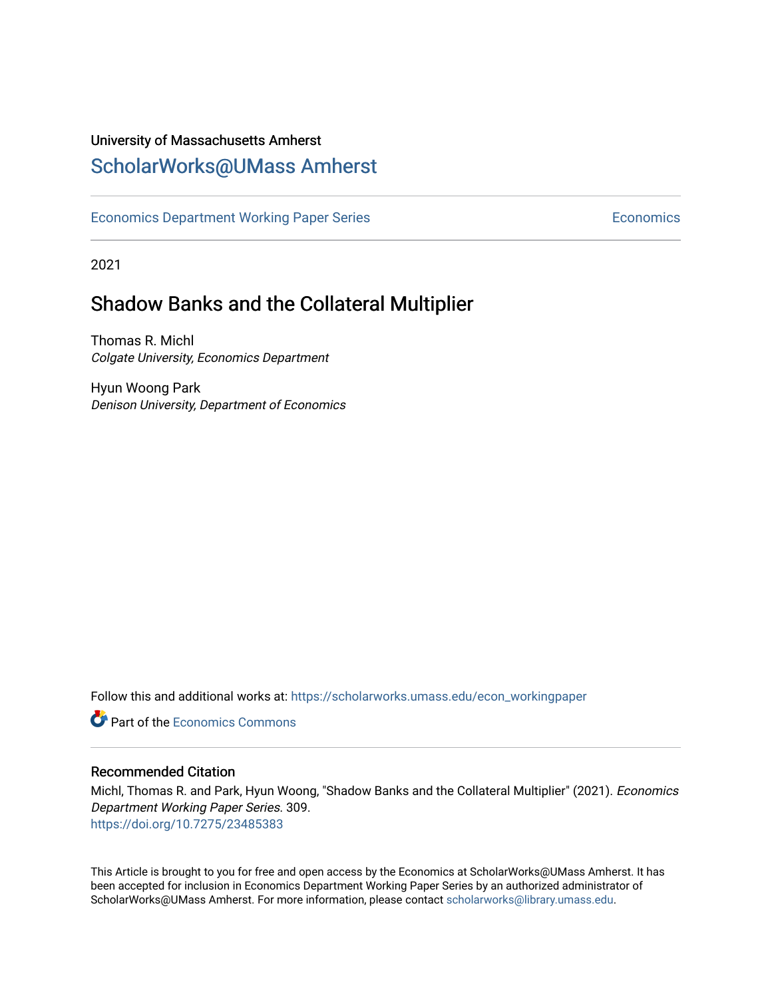## University of Massachusetts Amherst [ScholarWorks@UMass Amherst](https://scholarworks.umass.edu/)

[Economics Department Working Paper Series](https://scholarworks.umass.edu/econ_workingpaper) **Economics** Economics

2021

## Shadow Banks and the Collateral Multiplier

Thomas R. Michl Colgate University, Economics Department

Hyun Woong Park Denison University, Department of Economics

Follow this and additional works at: [https://scholarworks.umass.edu/econ\\_workingpaper](https://scholarworks.umass.edu/econ_workingpaper?utm_source=scholarworks.umass.edu%2Fecon_workingpaper%2F309&utm_medium=PDF&utm_campaign=PDFCoverPages) 

**C** Part of the [Economics Commons](http://network.bepress.com/hgg/discipline/340?utm_source=scholarworks.umass.edu%2Fecon_workingpaper%2F309&utm_medium=PDF&utm_campaign=PDFCoverPages)

#### Recommended Citation

Michl, Thomas R. and Park, Hyun Woong, "Shadow Banks and the Collateral Multiplier" (2021). Economics Department Working Paper Series. 309. <https://doi.org/10.7275/23485383>

This Article is brought to you for free and open access by the Economics at ScholarWorks@UMass Amherst. It has been accepted for inclusion in Economics Department Working Paper Series by an authorized administrator of ScholarWorks@UMass Amherst. For more information, please contact [scholarworks@library.umass.edu.](mailto:scholarworks@library.umass.edu)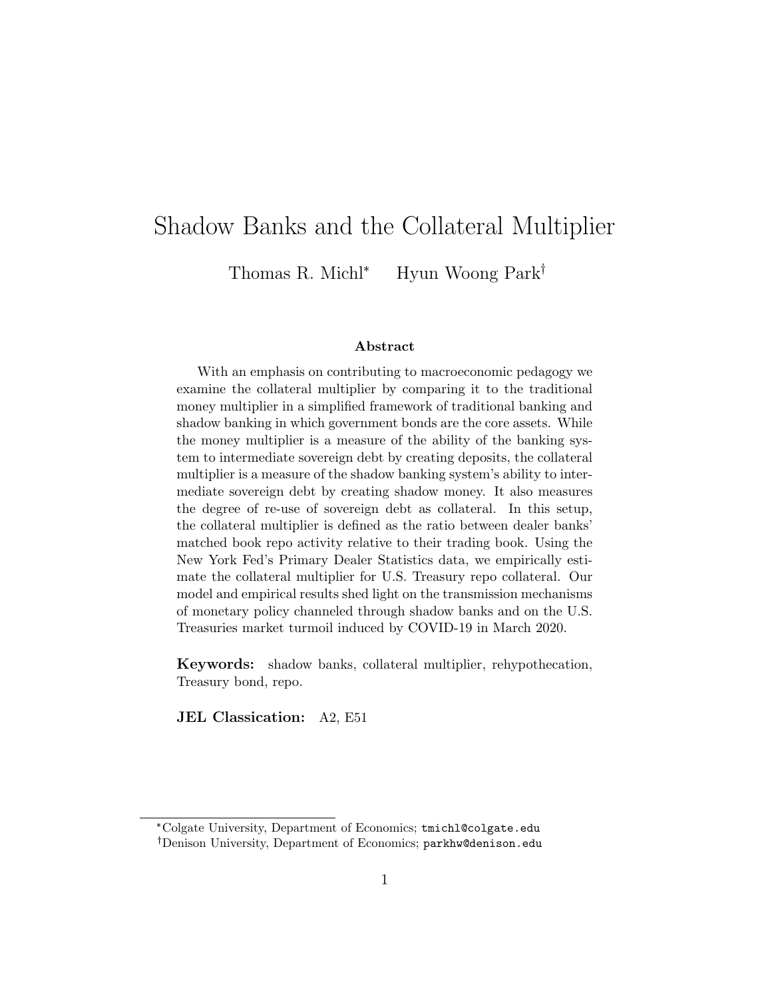# Shadow Banks and the Collateral Multiplier

Thomas R. Michl<sup>\*</sup> Hyun Woong Park<sup>†</sup>

#### Abstract

With an emphasis on contributing to macroeconomic pedagogy we examine the collateral multiplier by comparing it to the traditional money multiplier in a simplified framework of traditional banking and shadow banking in which government bonds are the core assets. While the money multiplier is a measure of the ability of the banking system to intermediate sovereign debt by creating deposits, the collateral multiplier is a measure of the shadow banking system's ability to intermediate sovereign debt by creating shadow money. It also measures the degree of re-use of sovereign debt as collateral. In this setup, the collateral multiplier is defined as the ratio between dealer banks' matched book repo activity relative to their trading book. Using the New York Fed's Primary Dealer Statistics data, we empirically estimate the collateral multiplier for U.S. Treasury repo collateral. Our model and empirical results shed light on the transmission mechanisms of monetary policy channeled through shadow banks and on the U.S. Treasuries market turmoil induced by COVID-19 in March 2020.

Keywords: shadow banks, collateral multiplier, rehypothecation, Treasury bond, repo.

JEL Classication: A2, E51

<sup>\*</sup>Colgate University, Department of Economics; tmichl@colgate.edu Denison University, Department of Economics; parkhw@denison.edu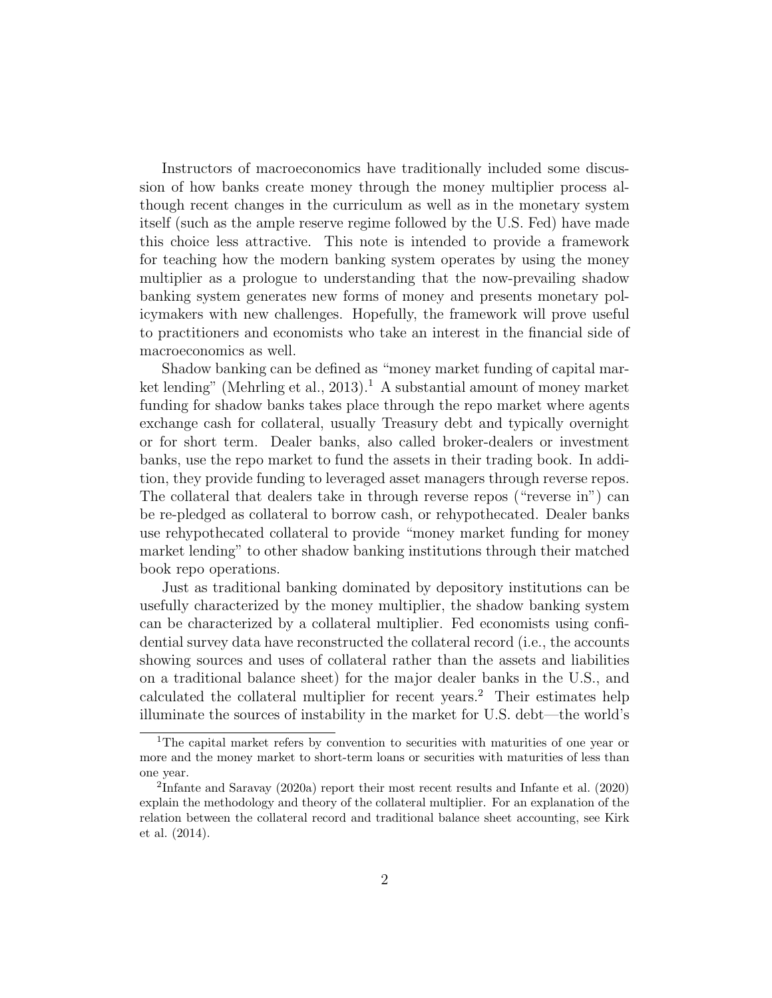Instructors of macroeconomics have traditionally included some discussion of how banks create money through the money multiplier process although recent changes in the curriculum as well as in the monetary system itself (such as the ample reserve regime followed by the U.S. Fed) have made this choice less attractive. This note is intended to provide a framework for teaching how the modern banking system operates by using the money multiplier as a prologue to understanding that the now-prevailing shadow banking system generates new forms of money and presents monetary policymakers with new challenges. Hopefully, the framework will prove useful to practitioners and economists who take an interest in the financial side of macroeconomics as well.

Shadow banking can be defined as "money market funding of capital market lending" (Mehrling et al., 2013).<sup>1</sup> A substantial amount of money market funding for shadow banks takes place through the repo market where agents exchange cash for collateral, usually Treasury debt and typically overnight or for short term. Dealer banks, also called broker-dealers or investment banks, use the repo market to fund the assets in their trading book. In addition, they provide funding to leveraged asset managers through reverse repos. The collateral that dealers take in through reverse repos ("reverse in") can be re-pledged as collateral to borrow cash, or rehypothecated. Dealer banks use rehypothecated collateral to provide "money market funding for money market lending" to other shadow banking institutions through their matched book repo operations.

Just as traditional banking dominated by depository institutions can be usefully characterized by the money multiplier, the shadow banking system can be characterized by a collateral multiplier. Fed economists using confidential survey data have reconstructed the collateral record (i.e., the accounts showing sources and uses of collateral rather than the assets and liabilities on a traditional balance sheet) for the major dealer banks in the U.S., and calculated the collateral multiplier for recent years.<sup>2</sup> Their estimates help illuminate the sources of instability in the market for U.S. debt—the world's

<sup>&</sup>lt;sup>1</sup>The capital market refers by convention to securities with maturities of one year or more and the money market to short-term loans or securities with maturities of less than one year.

<sup>&</sup>lt;sup>2</sup>Infante and Saravay (2020a) report their most recent results and Infante et al. (2020) explain the methodology and theory of the collateral multiplier. For an explanation of the relation between the collateral record and traditional balance sheet accounting, see Kirk et al. (2014).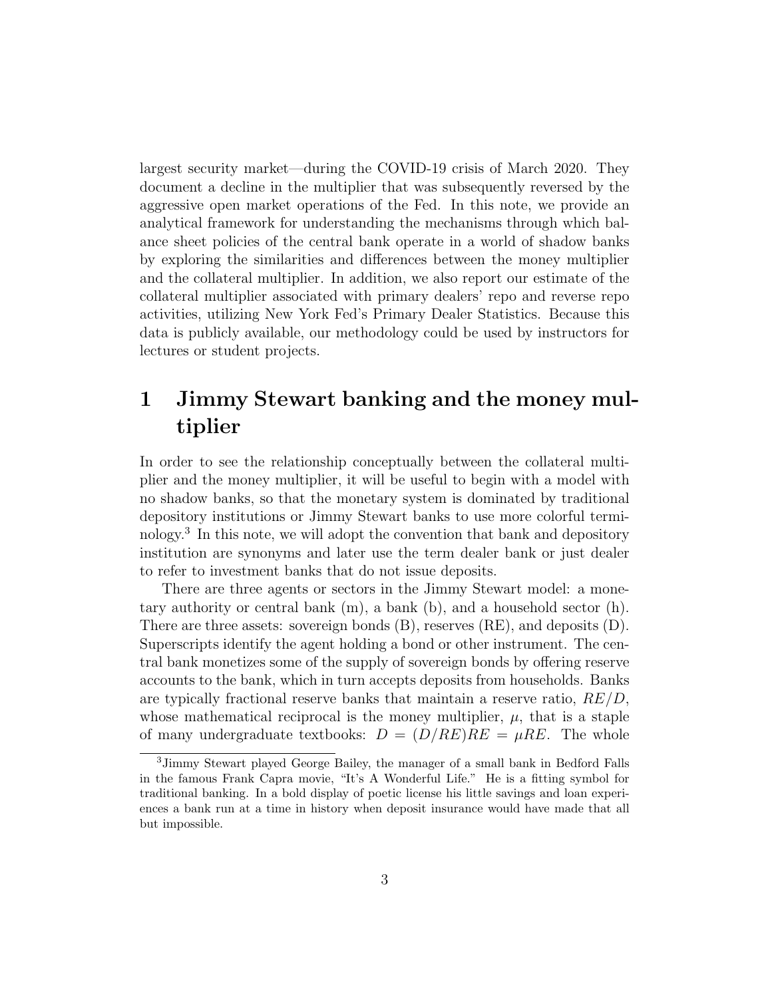largest security market—during the COVID-19 crisis of March 2020. They document a decline in the multiplier that was subsequently reversed by the aggressive open market operations of the Fed. In this note, we provide an analytical framework for understanding the mechanisms through which balance sheet policies of the central bank operate in a world of shadow banks by exploring the similarities and differences between the money multiplier and the collateral multiplier. In addition, we also report our estimate of the collateral multiplier associated with primary dealers' repo and reverse repo activities, utilizing New York Fed's Primary Dealer Statistics. Because this data is publicly available, our methodology could be used by instructors for lectures or student projects.

# 1 Jimmy Stewart banking and the money multiplier

In order to see the relationship conceptually between the collateral multiplier and the money multiplier, it will be useful to begin with a model with no shadow banks, so that the monetary system is dominated by traditional depository institutions or Jimmy Stewart banks to use more colorful terminology.<sup>3</sup> In this note, we will adopt the convention that bank and depository institution are synonyms and later use the term dealer bank or just dealer to refer to investment banks that do not issue deposits.

There are three agents or sectors in the Jimmy Stewart model: a monetary authority or central bank (m), a bank (b), and a household sector (h). There are three assets: sovereign bonds (B), reserves (RE), and deposits (D). Superscripts identify the agent holding a bond or other instrument. The central bank monetizes some of the supply of sovereign bonds by offering reserve accounts to the bank, which in turn accepts deposits from households. Banks are typically fractional reserve banks that maintain a reserve ratio,  $RE/D$ , whose mathematical reciprocal is the money multiplier,  $\mu$ , that is a staple of many undergraduate textbooks:  $D = (D/RE)RE = \mu RE$ . The whole

<sup>3</sup>Jimmy Stewart played George Bailey, the manager of a small bank in Bedford Falls in the famous Frank Capra movie, "It's A Wonderful Life." He is a fitting symbol for traditional banking. In a bold display of poetic license his little savings and loan experiences a bank run at a time in history when deposit insurance would have made that all but impossible.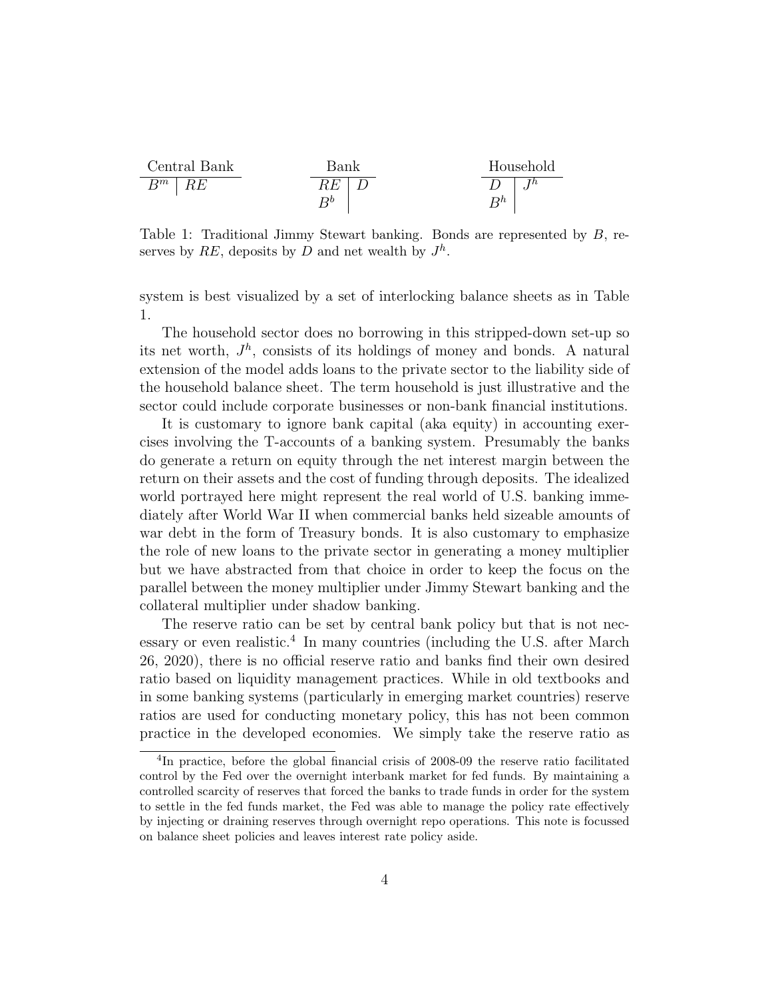

Table 1: Traditional Jimmy Stewart banking. Bonds are represented by B, reserves by RE, deposits by D and net wealth by  $J<sup>h</sup>$ .

system is best visualized by a set of interlocking balance sheets as in Table 1.

The household sector does no borrowing in this stripped-down set-up so its net worth,  $J<sup>h</sup>$ , consists of its holdings of money and bonds. A natural extension of the model adds loans to the private sector to the liability side of the household balance sheet. The term household is just illustrative and the sector could include corporate businesses or non-bank financial institutions.

It is customary to ignore bank capital (aka equity) in accounting exercises involving the T-accounts of a banking system. Presumably the banks do generate a return on equity through the net interest margin between the return on their assets and the cost of funding through deposits. The idealized world portrayed here might represent the real world of U.S. banking immediately after World War II when commercial banks held sizeable amounts of war debt in the form of Treasury bonds. It is also customary to emphasize the role of new loans to the private sector in generating a money multiplier but we have abstracted from that choice in order to keep the focus on the parallel between the money multiplier under Jimmy Stewart banking and the collateral multiplier under shadow banking.

The reserve ratio can be set by central bank policy but that is not necessary or even realistic.<sup>4</sup> In many countries (including the U.S. after March 26, 2020), there is no official reserve ratio and banks find their own desired ratio based on liquidity management practices. While in old textbooks and in some banking systems (particularly in emerging market countries) reserve ratios are used for conducting monetary policy, this has not been common practice in the developed economies. We simply take the reserve ratio as

<sup>4</sup> In practice, before the global financial crisis of 2008-09 the reserve ratio facilitated control by the Fed over the overnight interbank market for fed funds. By maintaining a controlled scarcity of reserves that forced the banks to trade funds in order for the system to settle in the fed funds market, the Fed was able to manage the policy rate effectively by injecting or draining reserves through overnight repo operations. This note is focussed on balance sheet policies and leaves interest rate policy aside.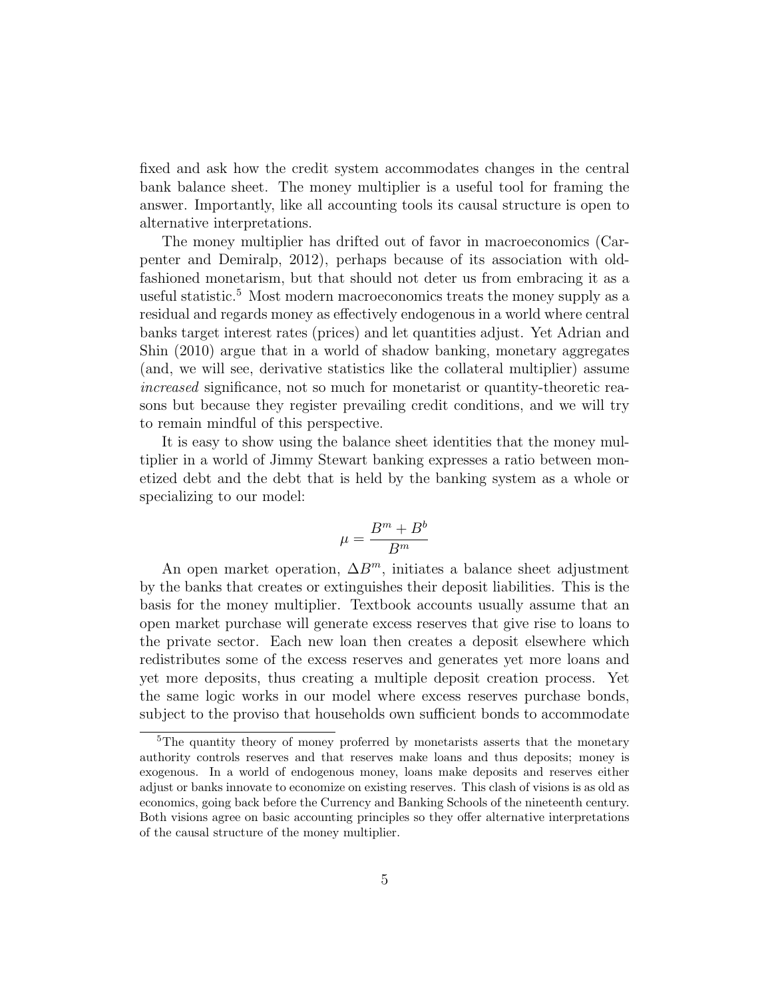fixed and ask how the credit system accommodates changes in the central bank balance sheet. The money multiplier is a useful tool for framing the answer. Importantly, like all accounting tools its causal structure is open to alternative interpretations.

The money multiplier has drifted out of favor in macroeconomics (Carpenter and Demiralp, 2012), perhaps because of its association with oldfashioned monetarism, but that should not deter us from embracing it as a useful statistic.<sup>5</sup> Most modern macroeconomics treats the money supply as a residual and regards money as effectively endogenous in a world where central banks target interest rates (prices) and let quantities adjust. Yet Adrian and Shin (2010) argue that in a world of shadow banking, monetary aggregates (and, we will see, derivative statistics like the collateral multiplier) assume increased significance, not so much for monetarist or quantity-theoretic reasons but because they register prevailing credit conditions, and we will try to remain mindful of this perspective.

It is easy to show using the balance sheet identities that the money multiplier in a world of Jimmy Stewart banking expresses a ratio between monetized debt and the debt that is held by the banking system as a whole or specializing to our model:

$$
\mu = \frac{B^m + B^b}{B^m}
$$

An open market operation,  $\Delta B^{m}$ , initiates a balance sheet adjustment by the banks that creates or extinguishes their deposit liabilities. This is the basis for the money multiplier. Textbook accounts usually assume that an open market purchase will generate excess reserves that give rise to loans to the private sector. Each new loan then creates a deposit elsewhere which redistributes some of the excess reserves and generates yet more loans and yet more deposits, thus creating a multiple deposit creation process. Yet the same logic works in our model where excess reserves purchase bonds, subject to the proviso that households own sufficient bonds to accommodate

<sup>&</sup>lt;sup>5</sup>The quantity theory of money proferred by monetarists asserts that the monetary authority controls reserves and that reserves make loans and thus deposits; money is exogenous. In a world of endogenous money, loans make deposits and reserves either adjust or banks innovate to economize on existing reserves. This clash of visions is as old as economics, going back before the Currency and Banking Schools of the nineteenth century. Both visions agree on basic accounting principles so they offer alternative interpretations of the causal structure of the money multiplier.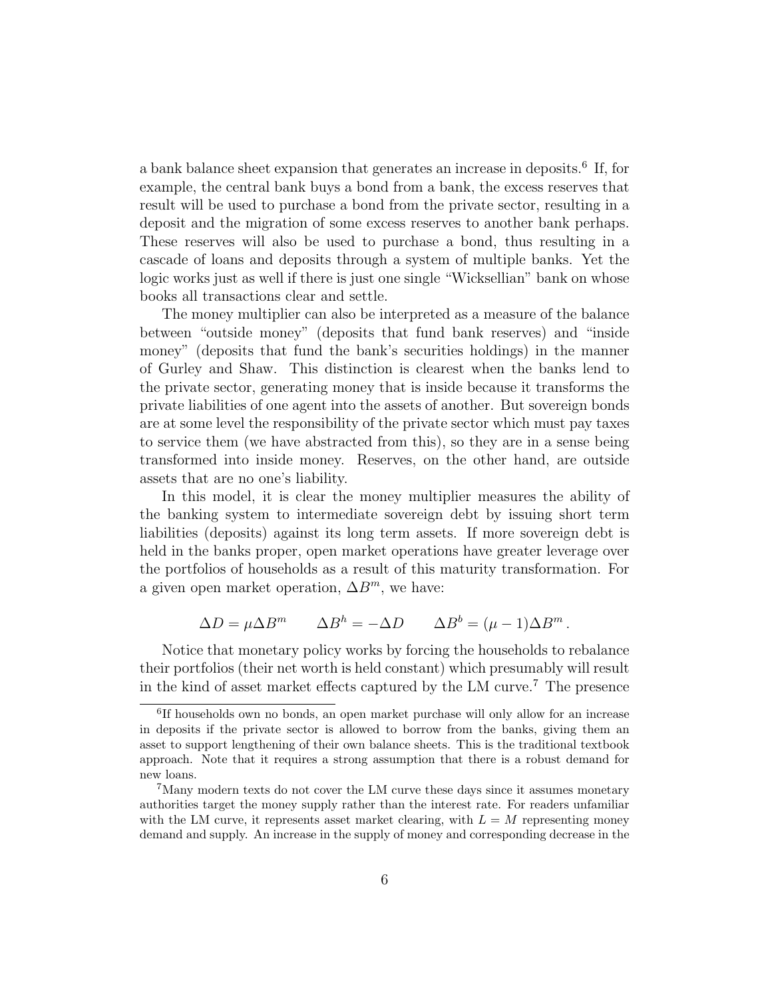a bank balance sheet expansion that generates an increase in deposits.<sup>6</sup> If, for example, the central bank buys a bond from a bank, the excess reserves that result will be used to purchase a bond from the private sector, resulting in a deposit and the migration of some excess reserves to another bank perhaps. These reserves will also be used to purchase a bond, thus resulting in a cascade of loans and deposits through a system of multiple banks. Yet the logic works just as well if there is just one single "Wicksellian" bank on whose books all transactions clear and settle.

The money multiplier can also be interpreted as a measure of the balance between "outside money" (deposits that fund bank reserves) and "inside money" (deposits that fund the bank's securities holdings) in the manner of Gurley and Shaw. This distinction is clearest when the banks lend to the private sector, generating money that is inside because it transforms the private liabilities of one agent into the assets of another. But sovereign bonds are at some level the responsibility of the private sector which must pay taxes to service them (we have abstracted from this), so they are in a sense being transformed into inside money. Reserves, on the other hand, are outside assets that are no one's liability.

In this model, it is clear the money multiplier measures the ability of the banking system to intermediate sovereign debt by issuing short term liabilities (deposits) against its long term assets. If more sovereign debt is held in the banks proper, open market operations have greater leverage over the portfolios of households as a result of this maturity transformation. For a given open market operation,  $\Delta B^m$ , we have:

$$
\Delta D = \mu \Delta B^m \qquad \Delta B^h = -\Delta D \qquad \Delta B^b = (\mu - 1)\Delta B^m \,.
$$

Notice that monetary policy works by forcing the households to rebalance their portfolios (their net worth is held constant) which presumably will result in the kind of asset market effects captured by the LM curve.<sup>7</sup> The presence

<sup>6</sup> If households own no bonds, an open market purchase will only allow for an increase in deposits if the private sector is allowed to borrow from the banks, giving them an asset to support lengthening of their own balance sheets. This is the traditional textbook approach. Note that it requires a strong assumption that there is a robust demand for new loans.

<sup>&</sup>lt;sup>7</sup>Many modern texts do not cover the LM curve these days since it assumes monetary authorities target the money supply rather than the interest rate. For readers unfamiliar with the LM curve, it represents asset market clearing, with  $L = M$  representing money demand and supply. An increase in the supply of money and corresponding decrease in the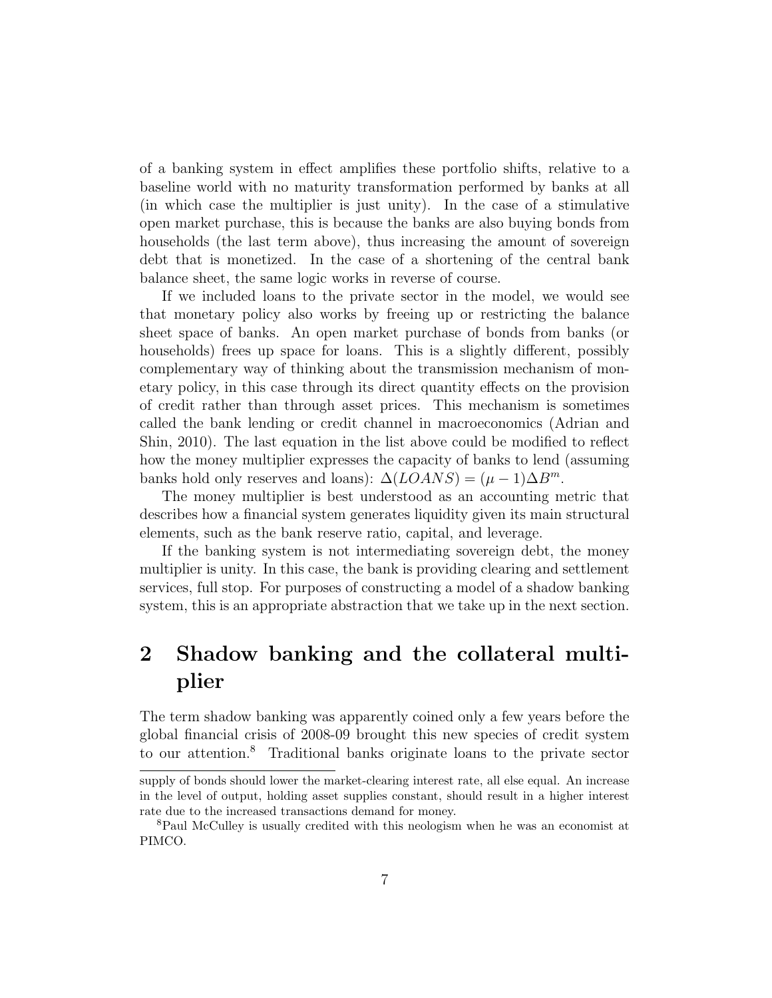of a banking system in effect amplifies these portfolio shifts, relative to a baseline world with no maturity transformation performed by banks at all (in which case the multiplier is just unity). In the case of a stimulative open market purchase, this is because the banks are also buying bonds from households (the last term above), thus increasing the amount of sovereign debt that is monetized. In the case of a shortening of the central bank balance sheet, the same logic works in reverse of course.

If we included loans to the private sector in the model, we would see that monetary policy also works by freeing up or restricting the balance sheet space of banks. An open market purchase of bonds from banks (or households) frees up space for loans. This is a slightly different, possibly complementary way of thinking about the transmission mechanism of monetary policy, in this case through its direct quantity effects on the provision of credit rather than through asset prices. This mechanism is sometimes called the bank lending or credit channel in macroeconomics (Adrian and Shin, 2010). The last equation in the list above could be modified to reflect how the money multiplier expresses the capacity of banks to lend (assuming banks hold only reserves and loans):  $\Delta (LOANS) = (\mu - 1)\Delta B^{m}$ .

The money multiplier is best understood as an accounting metric that describes how a financial system generates liquidity given its main structural elements, such as the bank reserve ratio, capital, and leverage.

If the banking system is not intermediating sovereign debt, the money multiplier is unity. In this case, the bank is providing clearing and settlement services, full stop. For purposes of constructing a model of a shadow banking system, this is an appropriate abstraction that we take up in the next section.

# 2 Shadow banking and the collateral multiplier

The term shadow banking was apparently coined only a few years before the global financial crisis of 2008-09 brought this new species of credit system to our attention.<sup>8</sup> Traditional banks originate loans to the private sector

supply of bonds should lower the market-clearing interest rate, all else equal. An increase in the level of output, holding asset supplies constant, should result in a higher interest rate due to the increased transactions demand for money.

<sup>8</sup>Paul McCulley is usually credited with this neologism when he was an economist at PIMCO.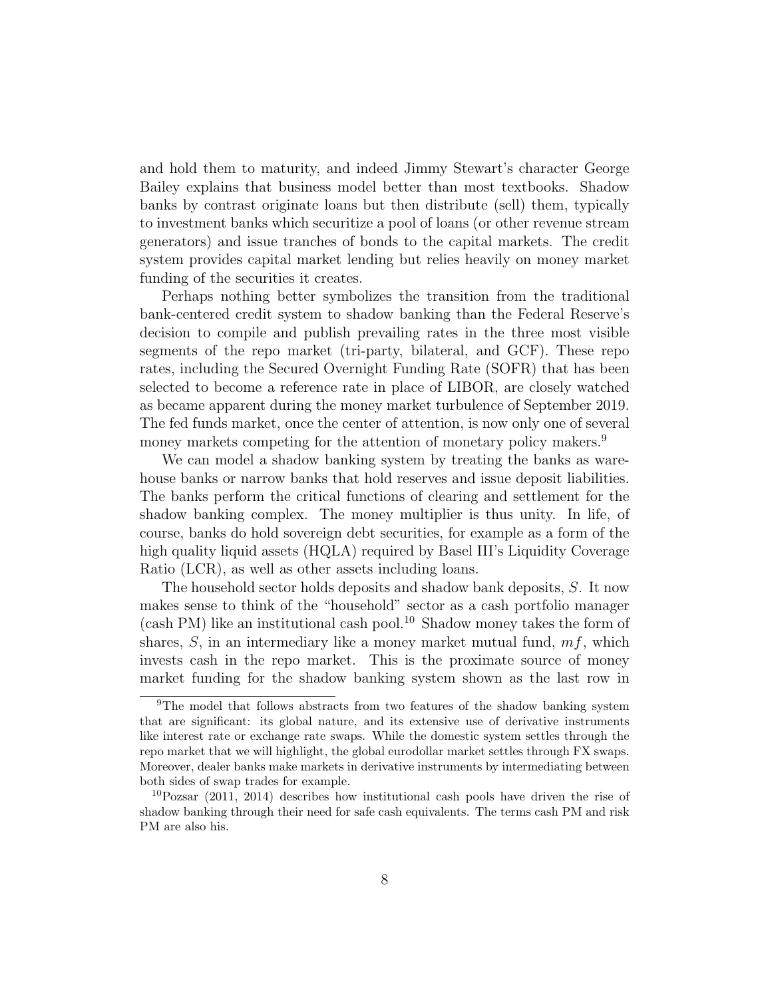and hold them to maturity, and indeed Jimmy Stewart's character George Bailey explains that business model better than most textbooks. Shadow banks by contrast originate loans but then distribute (sell) them, typically to investment banks which securitize a pool of loans (or other revenue stream generators) and issue tranches of bonds to the capital markets. The credit system provides capital market lending but relies heavily on money market funding of the securities it creates.

Perhaps nothing better symbolizes the transition from the traditional bank-centered credit system to shadow banking than the Federal Reserve's decision to compile and publish prevailing rates in the three most visible segments of the repo market (tri-party, bilateral, and GCF). These repo rates, including the Secured Overnight Funding Rate (SOFR) that has been selected to become a reference rate in place of LIBOR, are closely watched as became apparent during the money market turbulence of September 2019. The fed funds market, once the center of attention, is now only one of several money markets competing for the attention of monetary policy makers.<sup>9</sup>

We can model a shadow banking system by treating the banks as warehouse banks or narrow banks that hold reserves and issue deposit liabilities. The banks perform the critical functions of clearing and settlement for the shadow banking complex. The money multiplier is thus unity. In life, of course, banks do hold sovereign debt securities, for example as a form of the high quality liquid assets (HQLA) required by Basel III's Liquidity Coverage Ratio (LCR), as well as other assets including loans.

The household sector holds deposits and shadow bank deposits, S. It now makes sense to think of the "household" sector as a cash portfolio manager  $(cash PM)$  like an institutional cash pool.<sup>10</sup> Shadow money takes the form of shares,  $S$ , in an intermediary like a money market mutual fund,  $mf$ , which invests cash in the repo market. This is the proximate source of money market funding for the shadow banking system shown as the last row in

 $9$ The model that follows abstracts from two features of the shadow banking system that are significant: its global nature, and its extensive use of derivative instruments like interest rate or exchange rate swaps. While the domestic system settles through the repo market that we will highlight, the global eurodollar market settles through FX swaps. Moreover, dealer banks make markets in derivative instruments by intermediating between both sides of swap trades for example.

<sup>10</sup>Pozsar (2011, 2014) describes how institutional cash pools have driven the rise of shadow banking through their need for safe cash equivalents. The terms cash PM and risk PM are also his.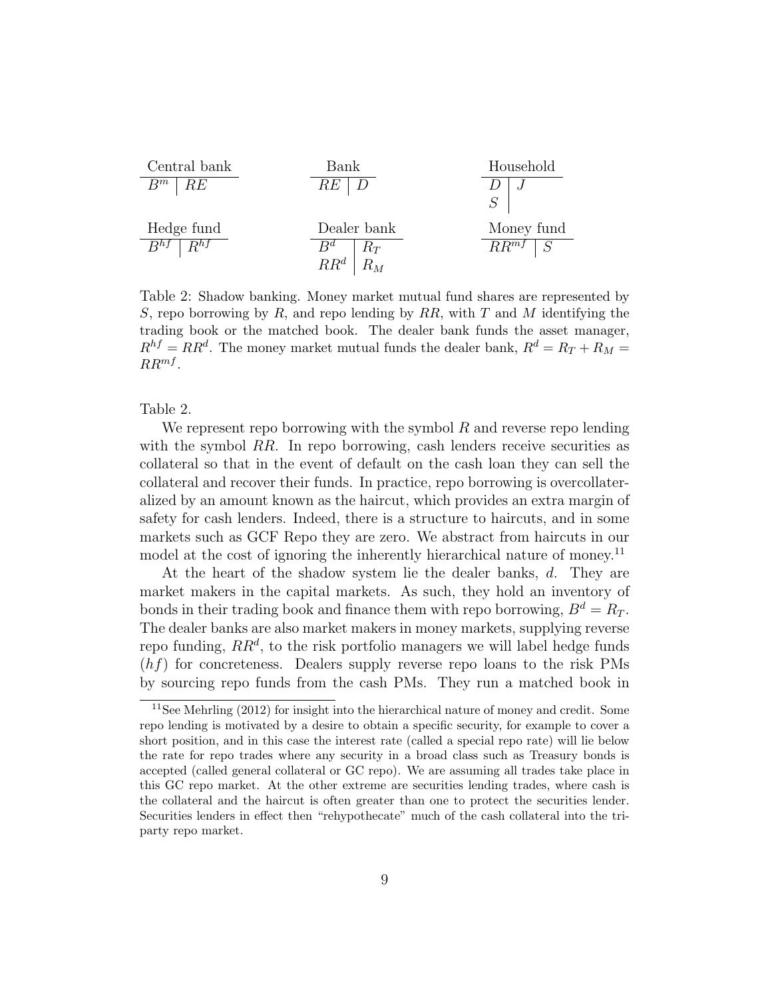

Table 2: Shadow banking. Money market mutual fund shares are represented by S, repo borrowing by R, and repo lending by RR, with T and M identifying the trading book or the matched book. The dealer bank funds the asset manager,  $R^{hf} = RR^d$ . The money market mutual funds the dealer bank,  $R^d = R_T + R_M =$  $RR^{mf}$ .

Table 2.

We represent repo borrowing with the symbol  $R$  and reverse repo lending with the symbol  $RR$ . In repo borrowing, cash lenders receive securities as collateral so that in the event of default on the cash loan they can sell the collateral and recover their funds. In practice, repo borrowing is overcollateralized by an amount known as the haircut, which provides an extra margin of safety for cash lenders. Indeed, there is a structure to haircuts, and in some markets such as GCF Repo they are zero. We abstract from haircuts in our model at the cost of ignoring the inherently hierarchical nature of money.<sup>11</sup>

At the heart of the shadow system lie the dealer banks, d. They are market makers in the capital markets. As such, they hold an inventory of bonds in their trading book and finance them with repo borrowing,  $B^d = R_T$ . The dealer banks are also market makers in money markets, supplying reverse repo funding,  $RR<sup>d</sup>$ , to the risk portfolio managers we will label hedge funds  $(hf)$  for concreteness. Dealers supply reverse repo loans to the risk PMs by sourcing repo funds from the cash PMs. They run a matched book in

<sup>&</sup>lt;sup>11</sup>See Mehrling  $(2012)$  for insight into the hierarchical nature of money and credit. Some repo lending is motivated by a desire to obtain a specific security, for example to cover a short position, and in this case the interest rate (called a special repo rate) will lie below the rate for repo trades where any security in a broad class such as Treasury bonds is accepted (called general collateral or GC repo). We are assuming all trades take place in this GC repo market. At the other extreme are securities lending trades, where cash is the collateral and the haircut is often greater than one to protect the securities lender. Securities lenders in effect then "rehypothecate" much of the cash collateral into the triparty repo market.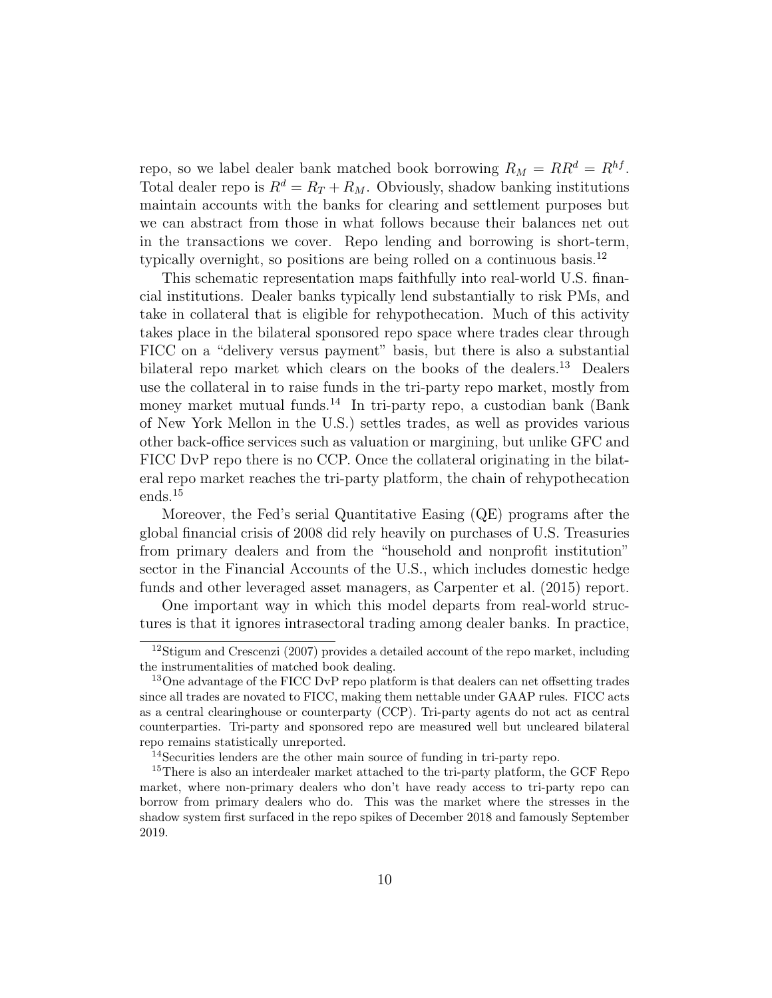repo, so we label dealer bank matched book borrowing  $R_M = RR^d = R^{hf}$ . Total dealer repo is  $R^d = R_T + R_M$ . Obviously, shadow banking institutions maintain accounts with the banks for clearing and settlement purposes but we can abstract from those in what follows because their balances net out in the transactions we cover. Repo lending and borrowing is short-term, typically overnight, so positions are being rolled on a continuous basis.<sup>12</sup>

This schematic representation maps faithfully into real-world U.S. financial institutions. Dealer banks typically lend substantially to risk PMs, and take in collateral that is eligible for rehypothecation. Much of this activity takes place in the bilateral sponsored repo space where trades clear through FICC on a "delivery versus payment" basis, but there is also a substantial bilateral repo market which clears on the books of the dealers.<sup>13</sup> Dealers use the collateral in to raise funds in the tri-party repo market, mostly from money market mutual funds.<sup>14</sup> In tri-party repo, a custodian bank (Bank of New York Mellon in the U.S.) settles trades, as well as provides various other back-office services such as valuation or margining, but unlike GFC and FICC DvP repo there is no CCP. Once the collateral originating in the bilateral repo market reaches the tri-party platform, the chain of rehypothecation ends.<sup>15</sup>

Moreover, the Fed's serial Quantitative Easing (QE) programs after the global financial crisis of 2008 did rely heavily on purchases of U.S. Treasuries from primary dealers and from the "household and nonprofit institution" sector in the Financial Accounts of the U.S., which includes domestic hedge funds and other leveraged asset managers, as Carpenter et al. (2015) report.

One important way in which this model departs from real-world structures is that it ignores intrasectoral trading among dealer banks. In practice,

<sup>&</sup>lt;sup>12</sup>Stigum and Crescenzi (2007) provides a detailed account of the repo market, including the instrumentalities of matched book dealing.

<sup>&</sup>lt;sup>13</sup>One advantage of the FICC DvP repo platform is that dealers can net offsetting trades since all trades are novated to FICC, making them nettable under GAAP rules. FICC acts as a central clearinghouse or counterparty (CCP). Tri-party agents do not act as central counterparties. Tri-party and sponsored repo are measured well but uncleared bilateral repo remains statistically unreported.

<sup>14</sup>Securities lenders are the other main source of funding in tri-party repo.

<sup>&</sup>lt;sup>15</sup>There is also an interdealer market attached to the tri-party platform, the GCF Repo market, where non-primary dealers who don't have ready access to tri-party repo can borrow from primary dealers who do. This was the market where the stresses in the shadow system first surfaced in the repo spikes of December 2018 and famously September 2019.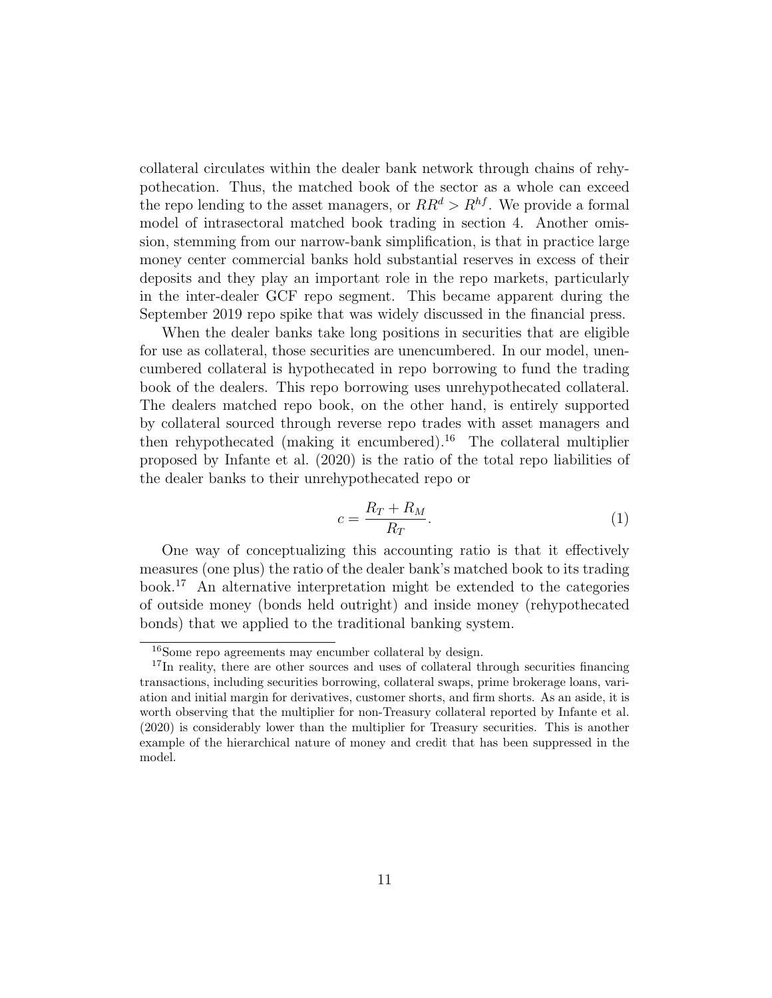collateral circulates within the dealer bank network through chains of rehypothecation. Thus, the matched book of the sector as a whole can exceed the repo lending to the asset managers, or  $RR^d > R^{hf}$ . We provide a formal model of intrasectoral matched book trading in section 4. Another omission, stemming from our narrow-bank simplification, is that in practice large money center commercial banks hold substantial reserves in excess of their deposits and they play an important role in the repo markets, particularly in the inter-dealer GCF repo segment. This became apparent during the September 2019 repo spike that was widely discussed in the financial press.

When the dealer banks take long positions in securities that are eligible for use as collateral, those securities are unencumbered. In our model, unencumbered collateral is hypothecated in repo borrowing to fund the trading book of the dealers. This repo borrowing uses unrehypothecated collateral. The dealers matched repo book, on the other hand, is entirely supported by collateral sourced through reverse repo trades with asset managers and then rehypothecated (making it encumbered).<sup>16</sup> The collateral multiplier proposed by Infante et al. (2020) is the ratio of the total repo liabilities of the dealer banks to their unrehypothecated repo or

$$
c = \frac{R_T + R_M}{R_T}.\tag{1}
$$

One way of conceptualizing this accounting ratio is that it effectively measures (one plus) the ratio of the dealer bank's matched book to its trading book.<sup>17</sup> An alternative interpretation might be extended to the categories of outside money (bonds held outright) and inside money (rehypothecated bonds) that we applied to the traditional banking system.

<sup>16</sup>Some repo agreements may encumber collateral by design.

<sup>&</sup>lt;sup>17</sup>In reality, there are other sources and uses of collateral through securities financing transactions, including securities borrowing, collateral swaps, prime brokerage loans, variation and initial margin for derivatives, customer shorts, and firm shorts. As an aside, it is worth observing that the multiplier for non-Treasury collateral reported by Infante et al. (2020) is considerably lower than the multiplier for Treasury securities. This is another example of the hierarchical nature of money and credit that has been suppressed in the model.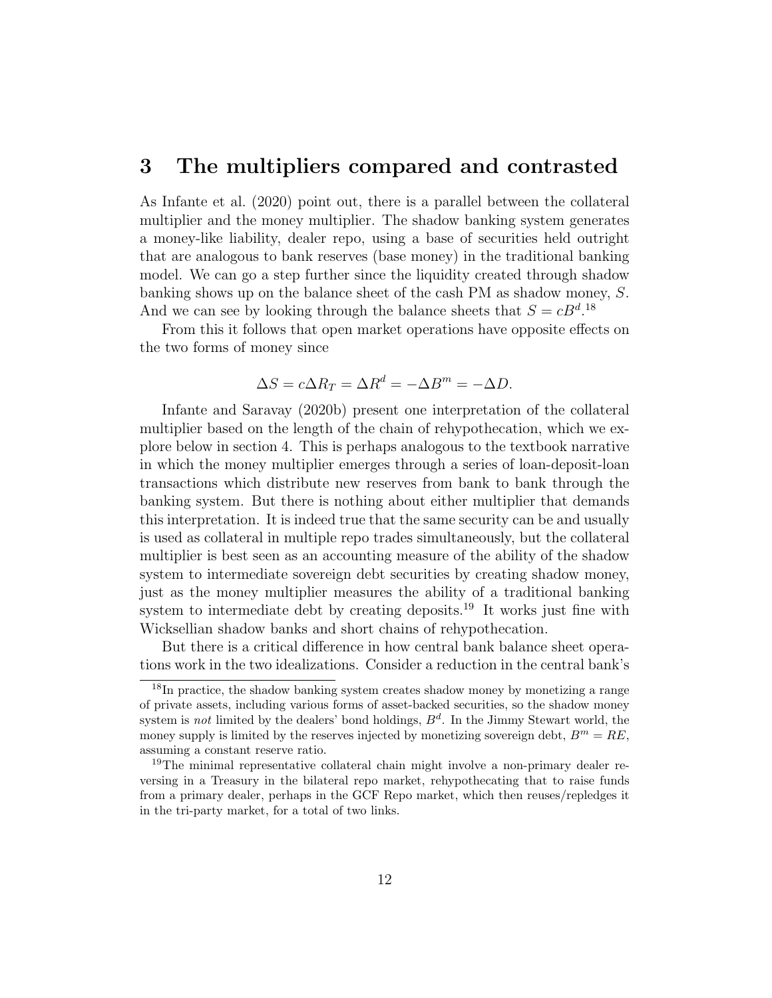## 3 The multipliers compared and contrasted

As Infante et al. (2020) point out, there is a parallel between the collateral multiplier and the money multiplier. The shadow banking system generates a money-like liability, dealer repo, using a base of securities held outright that are analogous to bank reserves (base money) in the traditional banking model. We can go a step further since the liquidity created through shadow banking shows up on the balance sheet of the cash PM as shadow money, S. And we can see by looking through the balance sheets that  $S = cB^{d}$ .<sup>18</sup>

From this it follows that open market operations have opposite effects on the two forms of money since

$$
\Delta S = c \Delta R_T = \Delta R^d = -\Delta B^m = -\Delta D.
$$

Infante and Saravay (2020b) present one interpretation of the collateral multiplier based on the length of the chain of rehypothecation, which we explore below in section 4. This is perhaps analogous to the textbook narrative in which the money multiplier emerges through a series of loan-deposit-loan transactions which distribute new reserves from bank to bank through the banking system. But there is nothing about either multiplier that demands this interpretation. It is indeed true that the same security can be and usually is used as collateral in multiple repo trades simultaneously, but the collateral multiplier is best seen as an accounting measure of the ability of the shadow system to intermediate sovereign debt securities by creating shadow money, just as the money multiplier measures the ability of a traditional banking system to intermediate debt by creating deposits.<sup>19</sup> It works just fine with Wicksellian shadow banks and short chains of rehypothecation.

But there is a critical difference in how central bank balance sheet operations work in the two idealizations. Consider a reduction in the central bank's

<sup>&</sup>lt;sup>18</sup>In practice, the shadow banking system creates shadow money by monetizing a range of private assets, including various forms of asset-backed securities, so the shadow money system is *not* limited by the dealers' bond holdings,  $B<sup>d</sup>$ . In the Jimmy Stewart world, the money supply is limited by the reserves injected by monetizing sovereign debt,  $B^m = RE$ , assuming a constant reserve ratio.

<sup>19</sup>The minimal representative collateral chain might involve a non-primary dealer reversing in a Treasury in the bilateral repo market, rehypothecating that to raise funds from a primary dealer, perhaps in the GCF Repo market, which then reuses/repledges it in the tri-party market, for a total of two links.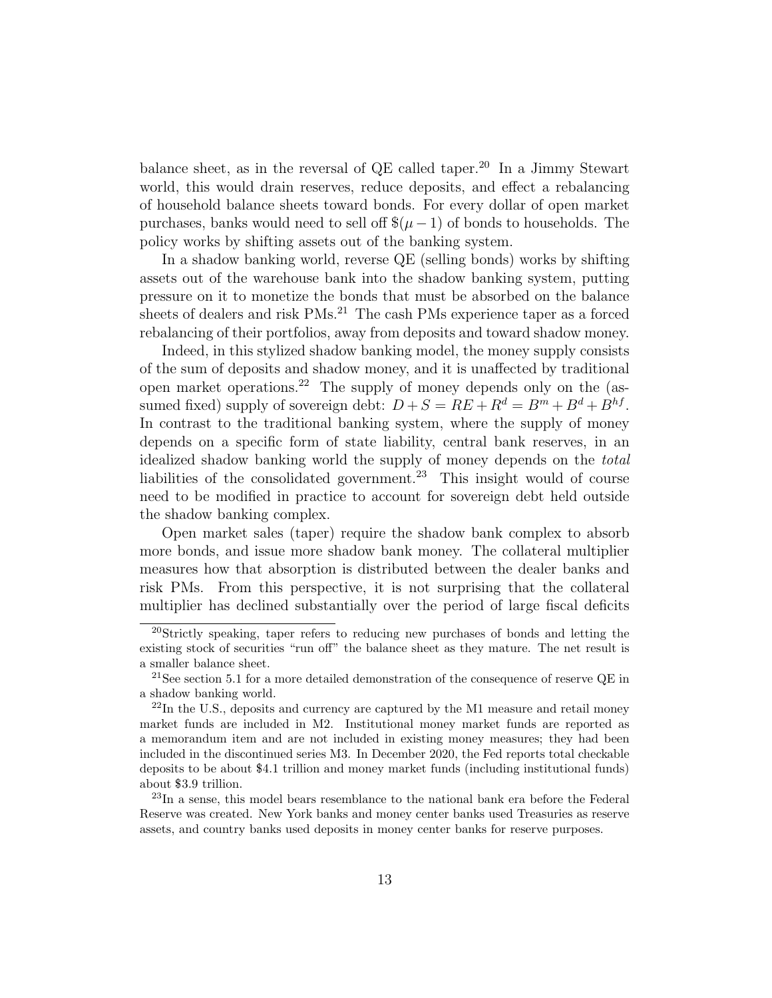balance sheet, as in the reversal of QE called taper.<sup>20</sup> In a Jimmy Stewart world, this would drain reserves, reduce deposits, and effect a rebalancing of household balance sheets toward bonds. For every dollar of open market purchases, banks would need to sell off  $\$(\mu-1)$  of bonds to households. The policy works by shifting assets out of the banking system.

In a shadow banking world, reverse QE (selling bonds) works by shifting assets out of the warehouse bank into the shadow banking system, putting pressure on it to monetize the bonds that must be absorbed on the balance sheets of dealers and risk PMs.<sup>21</sup> The cash PMs experience taper as a forced rebalancing of their portfolios, away from deposits and toward shadow money.

Indeed, in this stylized shadow banking model, the money supply consists of the sum of deposits and shadow money, and it is unaffected by traditional open market operations.<sup>22</sup> The supply of money depends only on the (assumed fixed) supply of sovereign debt:  $D + S = RE + R^d = B^m + B^d + B^{hf}$ . In contrast to the traditional banking system, where the supply of money depends on a specific form of state liability, central bank reserves, in an idealized shadow banking world the supply of money depends on the total liabilities of the consolidated government.<sup>23</sup> This insight would of course need to be modified in practice to account for sovereign debt held outside the shadow banking complex.

Open market sales (taper) require the shadow bank complex to absorb more bonds, and issue more shadow bank money. The collateral multiplier measures how that absorption is distributed between the dealer banks and risk PMs. From this perspective, it is not surprising that the collateral multiplier has declined substantially over the period of large fiscal deficits

<sup>20</sup>Strictly speaking, taper refers to reducing new purchases of bonds and letting the existing stock of securities "run off" the balance sheet as they mature. The net result is a smaller balance sheet.

<sup>&</sup>lt;sup>21</sup>See section 5.1 for a more detailed demonstration of the consequence of reserve QE in a shadow banking world.

 $^{22}$ In the U.S., deposits and currency are captured by the M1 measure and retail money market funds are included in M2. Institutional money market funds are reported as a memorandum item and are not included in existing money measures; they had been included in the discontinued series M3. In December 2020, the Fed reports total checkable deposits to be about \$4.1 trillion and money market funds (including institutional funds) about \$3.9 trillion.

<sup>&</sup>lt;sup>23</sup>In a sense, this model bears resemblance to the national bank era before the Federal Reserve was created. New York banks and money center banks used Treasuries as reserve assets, and country banks used deposits in money center banks for reserve purposes.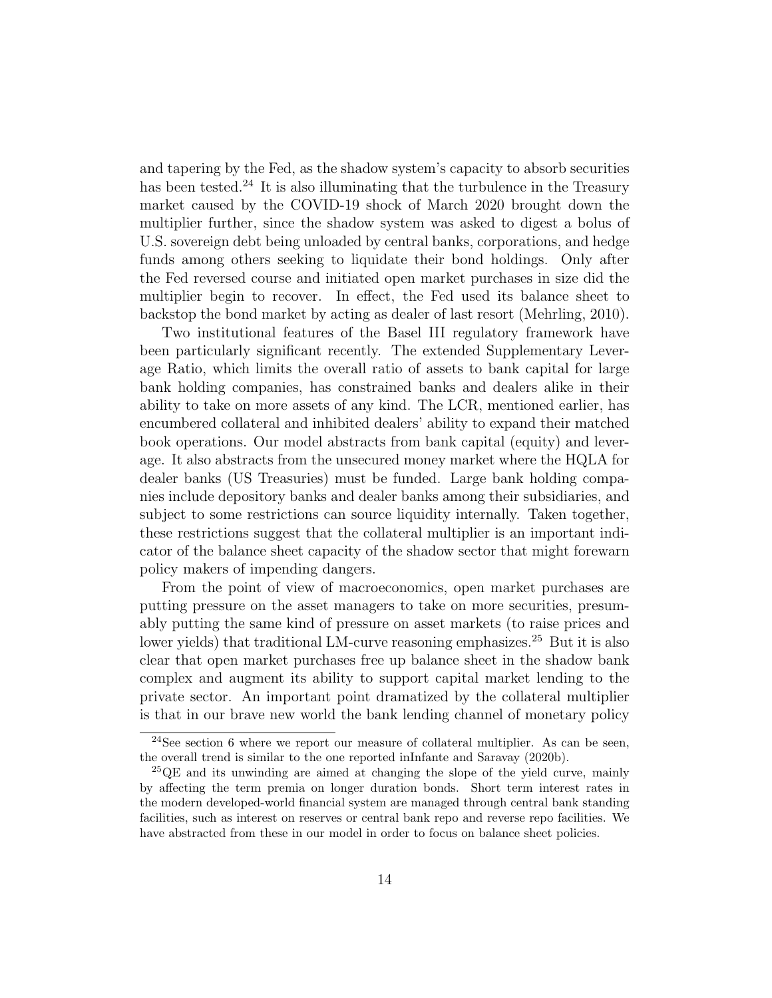and tapering by the Fed, as the shadow system's capacity to absorb securities has been tested.<sup>24</sup> It is also illuminating that the turbulence in the Treasury market caused by the COVID-19 shock of March 2020 brought down the multiplier further, since the shadow system was asked to digest a bolus of U.S. sovereign debt being unloaded by central banks, corporations, and hedge funds among others seeking to liquidate their bond holdings. Only after the Fed reversed course and initiated open market purchases in size did the multiplier begin to recover. In effect, the Fed used its balance sheet to backstop the bond market by acting as dealer of last resort (Mehrling, 2010).

Two institutional features of the Basel III regulatory framework have been particularly significant recently. The extended Supplementary Leverage Ratio, which limits the overall ratio of assets to bank capital for large bank holding companies, has constrained banks and dealers alike in their ability to take on more assets of any kind. The LCR, mentioned earlier, has encumbered collateral and inhibited dealers' ability to expand their matched book operations. Our model abstracts from bank capital (equity) and leverage. It also abstracts from the unsecured money market where the HQLA for dealer banks (US Treasuries) must be funded. Large bank holding companies include depository banks and dealer banks among their subsidiaries, and subject to some restrictions can source liquidity internally. Taken together, these restrictions suggest that the collateral multiplier is an important indicator of the balance sheet capacity of the shadow sector that might forewarn policy makers of impending dangers.

From the point of view of macroeconomics, open market purchases are putting pressure on the asset managers to take on more securities, presumably putting the same kind of pressure on asset markets (to raise prices and lower yields) that traditional LM-curve reasoning emphasizes.<sup>25</sup> But it is also clear that open market purchases free up balance sheet in the shadow bank complex and augment its ability to support capital market lending to the private sector. An important point dramatized by the collateral multiplier is that in our brave new world the bank lending channel of monetary policy

<sup>&</sup>lt;sup>24</sup>See section 6 where we report our measure of collateral multiplier. As can be seen, the overall trend is similar to the one reported inInfante and Saravay (2020b).

 $^{25}$ QE and its unwinding are aimed at changing the slope of the yield curve, mainly by affecting the term premia on longer duration bonds. Short term interest rates in the modern developed-world financial system are managed through central bank standing facilities, such as interest on reserves or central bank repo and reverse repo facilities. We have abstracted from these in our model in order to focus on balance sheet policies.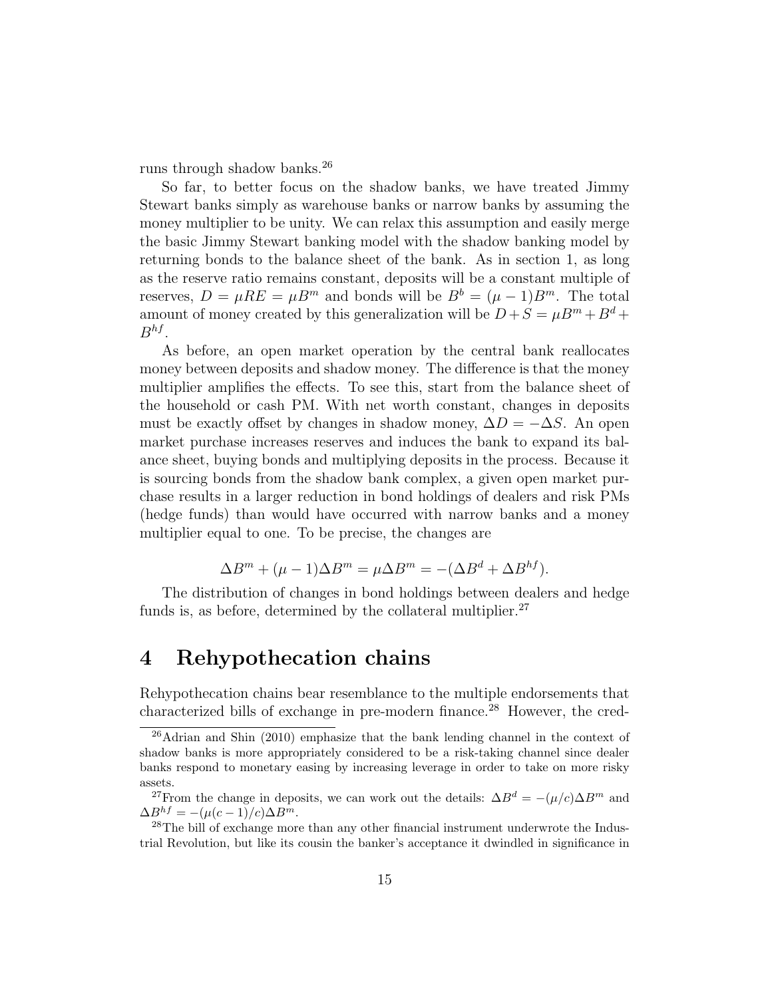runs through shadow banks.<sup>26</sup>

So far, to better focus on the shadow banks, we have treated Jimmy Stewart banks simply as warehouse banks or narrow banks by assuming the money multiplier to be unity. We can relax this assumption and easily merge the basic Jimmy Stewart banking model with the shadow banking model by returning bonds to the balance sheet of the bank. As in section 1, as long as the reserve ratio remains constant, deposits will be a constant multiple of reserves,  $D = \mu RE = \mu B^m$  and bonds will be  $B^b = (\mu - 1)B^m$ . The total amount of money created by this generalization will be  $D + S = \mu B^m + B^d +$  $B^{hf}$ .

As before, an open market operation by the central bank reallocates money between deposits and shadow money. The difference is that the money multiplier amplifies the effects. To see this, start from the balance sheet of the household or cash PM. With net worth constant, changes in deposits must be exactly offset by changes in shadow money,  $\Delta D = -\Delta S$ . An open market purchase increases reserves and induces the bank to expand its balance sheet, buying bonds and multiplying deposits in the process. Because it is sourcing bonds from the shadow bank complex, a given open market purchase results in a larger reduction in bond holdings of dealers and risk PMs (hedge funds) than would have occurred with narrow banks and a money multiplier equal to one. To be precise, the changes are

$$
\Delta B^{m} + (\mu - 1)\Delta B^{m} = \mu \Delta B^{m} = -(\Delta B^{d} + \Delta B^{hf}).
$$

The distribution of changes in bond holdings between dealers and hedge funds is, as before, determined by the collateral multiplier.<sup>27</sup>

## 4 Rehypothecation chains

Rehypothecation chains bear resemblance to the multiple endorsements that characterized bills of exchange in pre-modern finance.<sup>28</sup> However, the cred-

<sup>26</sup>Adrian and Shin (2010) emphasize that the bank lending channel in the context of shadow banks is more appropriately considered to be a risk-taking channel since dealer banks respond to monetary easing by increasing leverage in order to take on more risky assets.

<sup>&</sup>lt;sup>27</sup>From the change in deposits, we can work out the details:  $\Delta B^d = -(\mu/c)\Delta B^m$  and  $\Delta B^{hf} = -(\mu(c-1)/c)\Delta B^m.$ 

 $^{28}$ The bill of exchange more than any other financial instrument underwrote the Industrial Revolution, but like its cousin the banker's acceptance it dwindled in significance in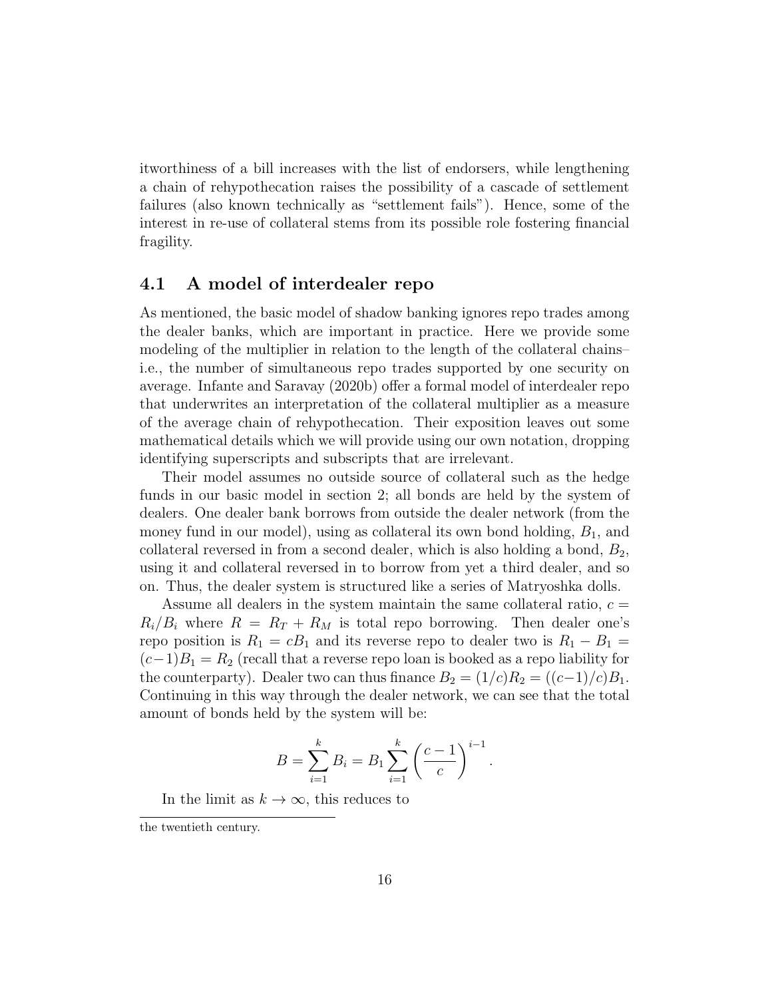itworthiness of a bill increases with the list of endorsers, while lengthening a chain of rehypothecation raises the possibility of a cascade of settlement failures (also known technically as "settlement fails"). Hence, some of the interest in re-use of collateral stems from its possible role fostering financial fragility.

#### 4.1 A model of interdealer repo

As mentioned, the basic model of shadow banking ignores repo trades among the dealer banks, which are important in practice. Here we provide some modeling of the multiplier in relation to the length of the collateral chains– i.e., the number of simultaneous repo trades supported by one security on average. Infante and Saravay (2020b) offer a formal model of interdealer repo that underwrites an interpretation of the collateral multiplier as a measure of the average chain of rehypothecation. Their exposition leaves out some mathematical details which we will provide using our own notation, dropping identifying superscripts and subscripts that are irrelevant.

Their model assumes no outside source of collateral such as the hedge funds in our basic model in section 2; all bonds are held by the system of dealers. One dealer bank borrows from outside the dealer network (from the money fund in our model), using as collateral its own bond holding,  $B_1$ , and collateral reversed in from a second dealer, which is also holding a bond,  $B_2$ , using it and collateral reversed in to borrow from yet a third dealer, and so on. Thus, the dealer system is structured like a series of Matryoshka dolls.

Assume all dealers in the system maintain the same collateral ratio,  $c =$  $R_i/B_i$  where  $R = R_T + R_M$  is total repo borrowing. Then dealer one's repo position is  $R_1 = cB_1$  and its reverse repo to dealer two is  $R_1 - B_1 =$  $(c-1)B_1 = R_2$  (recall that a reverse repo loan is booked as a repo liability for the counterparty). Dealer two can thus finance  $B_2 = (1/c)R_2 = ((c-1)/c)B_1$ . Continuing in this way through the dealer network, we can see that the total amount of bonds held by the system will be:

$$
B = \sum_{i=1}^{k} B_i = B_1 \sum_{i=1}^{k} \left(\frac{c-1}{c}\right)^{i-1}.
$$

In the limit as  $k \to \infty$ , this reduces to

the twentieth century.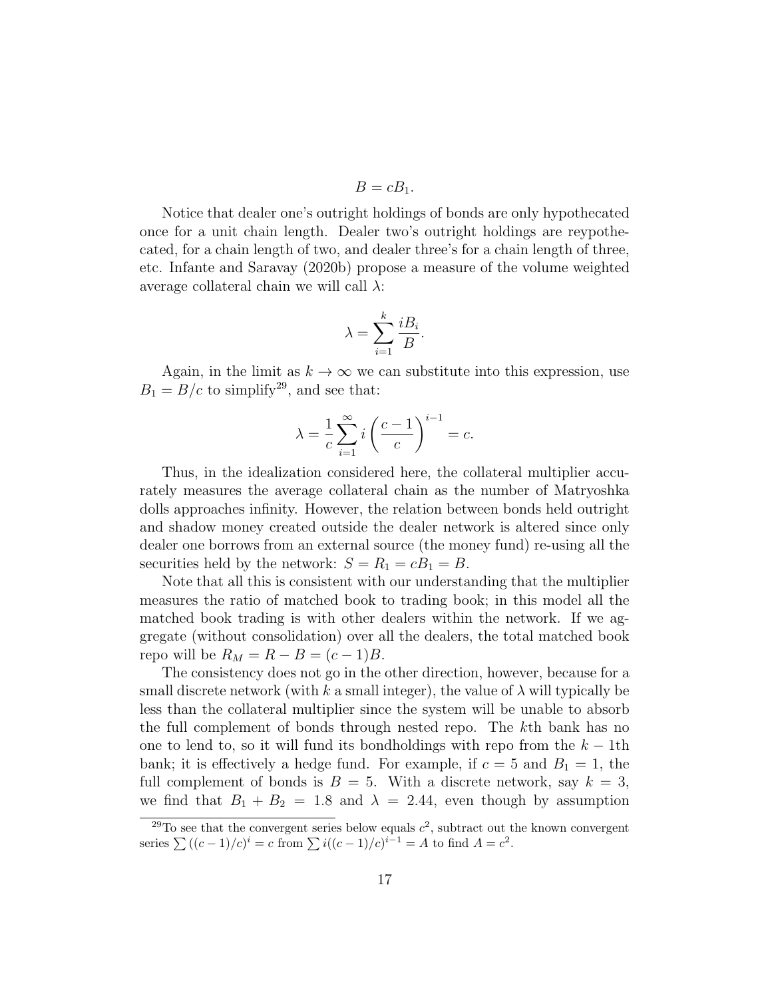$$
B=cB_1.
$$

Notice that dealer one's outright holdings of bonds are only hypothecated once for a unit chain length. Dealer two's outright holdings are reypothecated, for a chain length of two, and dealer three's for a chain length of three, etc. Infante and Saravay (2020b) propose a measure of the volume weighted average collateral chain we will call  $\lambda$ :

$$
\lambda = \sum_{i=1}^{k} \frac{iB_i}{B}.
$$

Again, in the limit as  $k \to \infty$  we can substitute into this expression, use  $B_1 = B/c$  to simplify<sup>29</sup>, and see that:

$$
\lambda = \frac{1}{c} \sum_{i=1}^{\infty} i \left( \frac{c-1}{c} \right)^{i-1} = c.
$$

Thus, in the idealization considered here, the collateral multiplier accurately measures the average collateral chain as the number of Matryoshka dolls approaches infinity. However, the relation between bonds held outright and shadow money created outside the dealer network is altered since only dealer one borrows from an external source (the money fund) re-using all the securities held by the network:  $S = R_1 = cB_1 = B$ .

Note that all this is consistent with our understanding that the multiplier measures the ratio of matched book to trading book; in this model all the matched book trading is with other dealers within the network. If we aggregate (without consolidation) over all the dealers, the total matched book repo will be  $R_M = R - B = (c - 1)B$ .

The consistency does not go in the other direction, however, because for a small discrete network (with k a small integer), the value of  $\lambda$  will typically be less than the collateral multiplier since the system will be unable to absorb the full complement of bonds through nested repo. The kth bank has no one to lend to, so it will fund its bondholdings with repo from the  $k - 1$ th bank; it is effectively a hedge fund. For example, if  $c = 5$  and  $B_1 = 1$ , the full complement of bonds is  $B = 5$ . With a discrete network, say  $k = 3$ , we find that  $B_1 + B_2 = 1.8$  and  $\lambda = 2.44$ , even though by assumption

<sup>&</sup>lt;sup>29</sup>To see that the convergent series below equals  $c^2$ , subtract out the known convergent series  $\sum ((c-1)/c)^i = c$  from  $\sum i ((c-1)/c)^{i-1} = A$  to find  $A = c^2$ .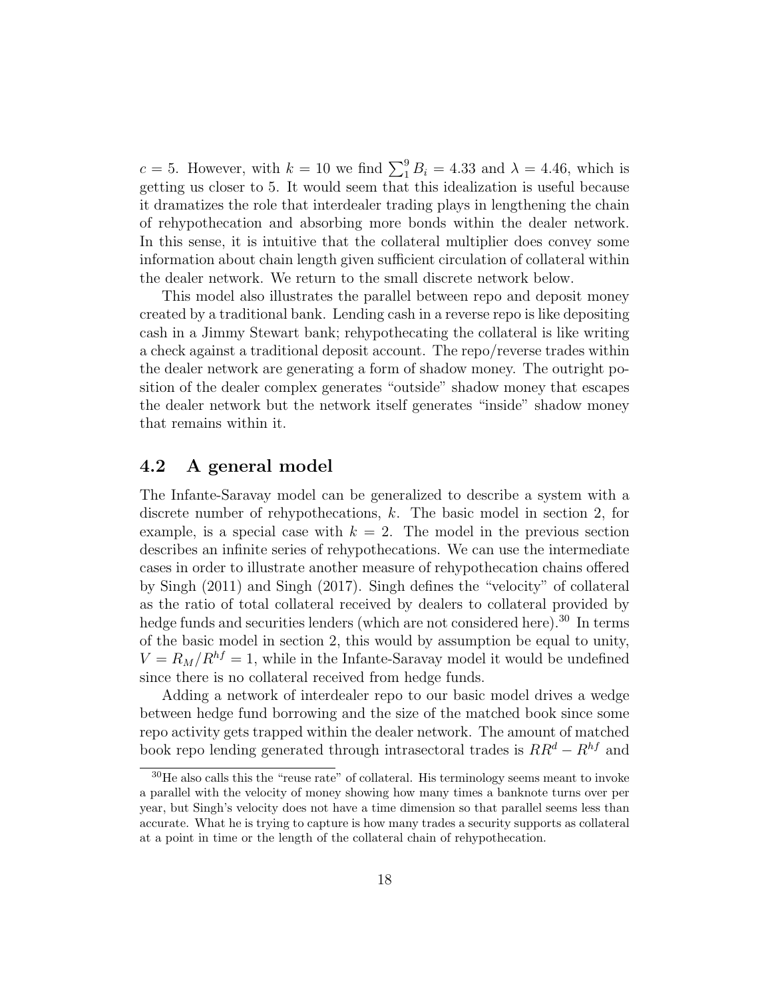$c = 5$ . However, with  $k = 10$  we find  $\sum_{i=1}^{9} B_i = 4.33$  and  $\lambda = 4.46$ , which is getting us closer to 5. It would seem that this idealization is useful because it dramatizes the role that interdealer trading plays in lengthening the chain of rehypothecation and absorbing more bonds within the dealer network. In this sense, it is intuitive that the collateral multiplier does convey some information about chain length given sufficient circulation of collateral within the dealer network. We return to the small discrete network below.

This model also illustrates the parallel between repo and deposit money created by a traditional bank. Lending cash in a reverse repo is like depositing cash in a Jimmy Stewart bank; rehypothecating the collateral is like writing a check against a traditional deposit account. The repo/reverse trades within the dealer network are generating a form of shadow money. The outright position of the dealer complex generates "outside" shadow money that escapes the dealer network but the network itself generates "inside" shadow money that remains within it.

#### 4.2 A general model

The Infante-Saravay model can be generalized to describe a system with a discrete number of rehypothecations, k. The basic model in section 2, for example, is a special case with  $k = 2$ . The model in the previous section describes an infinite series of rehypothecations. We can use the intermediate cases in order to illustrate another measure of rehypothecation chains offered by Singh (2011) and Singh (2017). Singh defines the "velocity" of collateral as the ratio of total collateral received by dealers to collateral provided by hedge funds and securities lenders (which are not considered here).<sup>30</sup> In terms of the basic model in section 2, this would by assumption be equal to unity,  $V = R_M/R^{hf} = 1$ , while in the Infante-Saravay model it would be undefined since there is no collateral received from hedge funds.

Adding a network of interdealer repo to our basic model drives a wedge between hedge fund borrowing and the size of the matched book since some repo activity gets trapped within the dealer network. The amount of matched book repo lending generated through intrasectoral trades is  $RR^d - R^{hf}$  and

 $30$ He also calls this the "reuse rate" of collateral. His terminology seems meant to invoke a parallel with the velocity of money showing how many times a banknote turns over per year, but Singh's velocity does not have a time dimension so that parallel seems less than accurate. What he is trying to capture is how many trades a security supports as collateral at a point in time or the length of the collateral chain of rehypothecation.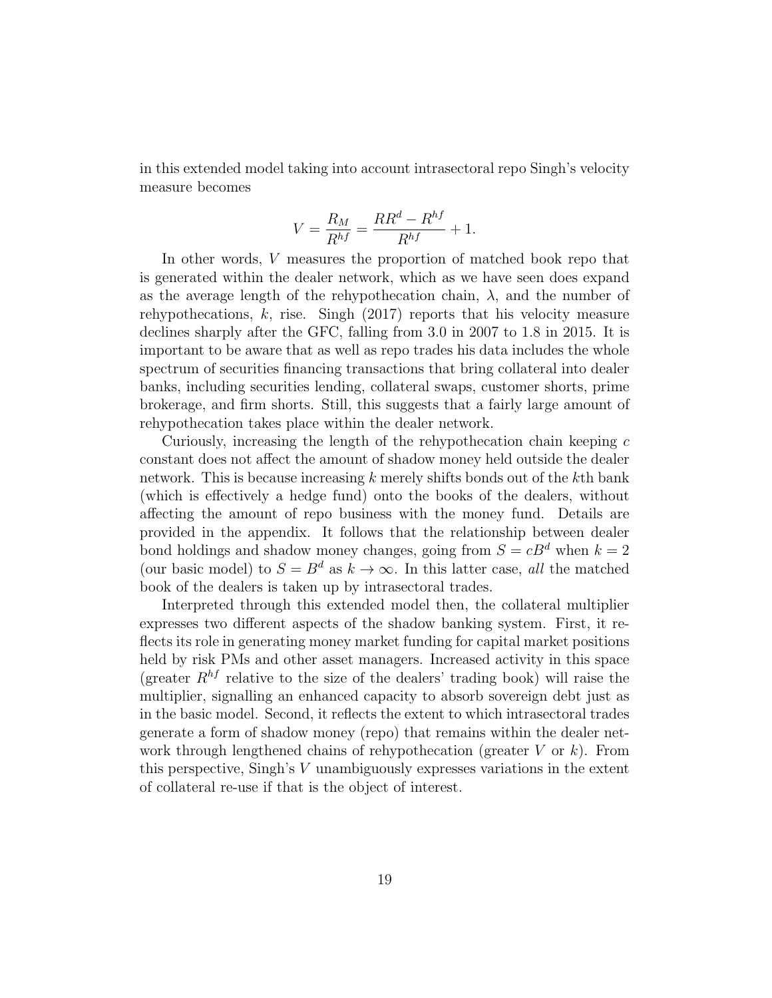in this extended model taking into account intrasectoral repo Singh's velocity measure becomes

$$
V = \frac{R_M}{R^{hf}} = \frac{RR^d - R^{hf}}{R^{hf}} + 1.
$$

In other words, V measures the proportion of matched book repo that is generated within the dealer network, which as we have seen does expand as the average length of the rehypothecation chain,  $\lambda$ , and the number of rehypothecations, k, rise. Singh (2017) reports that his velocity measure declines sharply after the GFC, falling from 3.0 in 2007 to 1.8 in 2015. It is important to be aware that as well as repo trades his data includes the whole spectrum of securities financing transactions that bring collateral into dealer banks, including securities lending, collateral swaps, customer shorts, prime brokerage, and firm shorts. Still, this suggests that a fairly large amount of rehypothecation takes place within the dealer network.

Curiously, increasing the length of the rehypothecation chain keeping  $c$ constant does not affect the amount of shadow money held outside the dealer network. This is because increasing  $k$  merely shifts bonds out of the  $k$ th bank (which is effectively a hedge fund) onto the books of the dealers, without affecting the amount of repo business with the money fund. Details are provided in the appendix. It follows that the relationship between dealer bond holdings and shadow money changes, going from  $S = cB<sup>d</sup>$  when  $k = 2$ (our basic model) to  $S = B^d$  as  $k \to \infty$ . In this latter case, all the matched book of the dealers is taken up by intrasectoral trades.

Interpreted through this extended model then, the collateral multiplier expresses two different aspects of the shadow banking system. First, it reflects its role in generating money market funding for capital market positions held by risk PMs and other asset managers. Increased activity in this space (greater  $R^{hf}$  relative to the size of the dealers' trading book) will raise the multiplier, signalling an enhanced capacity to absorb sovereign debt just as in the basic model. Second, it reflects the extent to which intrasectoral trades generate a form of shadow money (repo) that remains within the dealer network through lengthened chains of rehypothecation (greater  $V$  or  $k$ ). From this perspective, Singh's V unambiguously expresses variations in the extent of collateral re-use if that is the object of interest.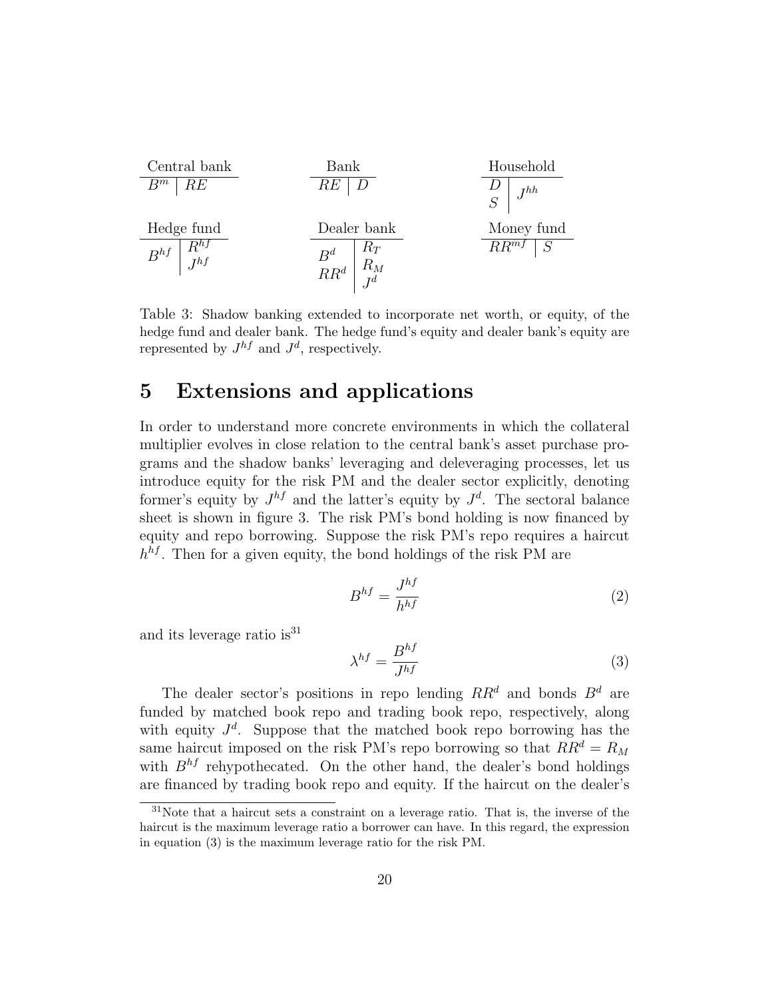| Central bank         | Bank            | Household       |
|----------------------|-----------------|-----------------|
| $B^m \mid RE$        | $RE \mid D$     | $D$             |
| Hedge fund           | Dealer bank     | Money fund      |
| $B^{hf} \mid B^{hf}$ | $B^d \mid R^T$  | $RR^d \mid R^M$ |
| $RR^d \mid B^d$      | $RR^d \mid B^d$ |                 |

Table 3: Shadow banking extended to incorporate net worth, or equity, of the hedge fund and dealer bank. The hedge fund's equity and dealer bank's equity are represented by  $J^{hf}$  and  $J^d$ , respectively.

## 5 Extensions and applications

In order to understand more concrete environments in which the collateral multiplier evolves in close relation to the central bank's asset purchase programs and the shadow banks' leveraging and deleveraging processes, let us introduce equity for the risk PM and the dealer sector explicitly, denoting former's equity by  $J^{hf}$  and the latter's equity by  $J^d$ . The sectoral balance sheet is shown in figure 3. The risk PM's bond holding is now financed by equity and repo borrowing. Suppose the risk PM's repo requires a haircut  $h^{hf}$ . Then for a given equity, the bond holdings of the risk PM are

$$
B^{hf} = \frac{J^{hf}}{h^{hf}}\tag{2}
$$

and its leverage ratio is  $31$ 

$$
\lambda^{hf} = \frac{B^{hf}}{J^{hf}}\tag{3}
$$

The dealer sector's positions in repo lending  $RR^d$  and bonds  $B^d$  are funded by matched book repo and trading book repo, respectively, along with equity  $J^d$ . Suppose that the matched book repo borrowing has the same haircut imposed on the risk PM's repo borrowing so that  $RR^d = R_M$ with  $B^{hf}$  rehypothecated. On the other hand, the dealer's bond holdings are financed by trading book repo and equity. If the haircut on the dealer's

 $31$ Note that a haircut sets a constraint on a leverage ratio. That is, the inverse of the haircut is the maximum leverage ratio a borrower can have. In this regard, the expression in equation (3) is the maximum leverage ratio for the risk PM.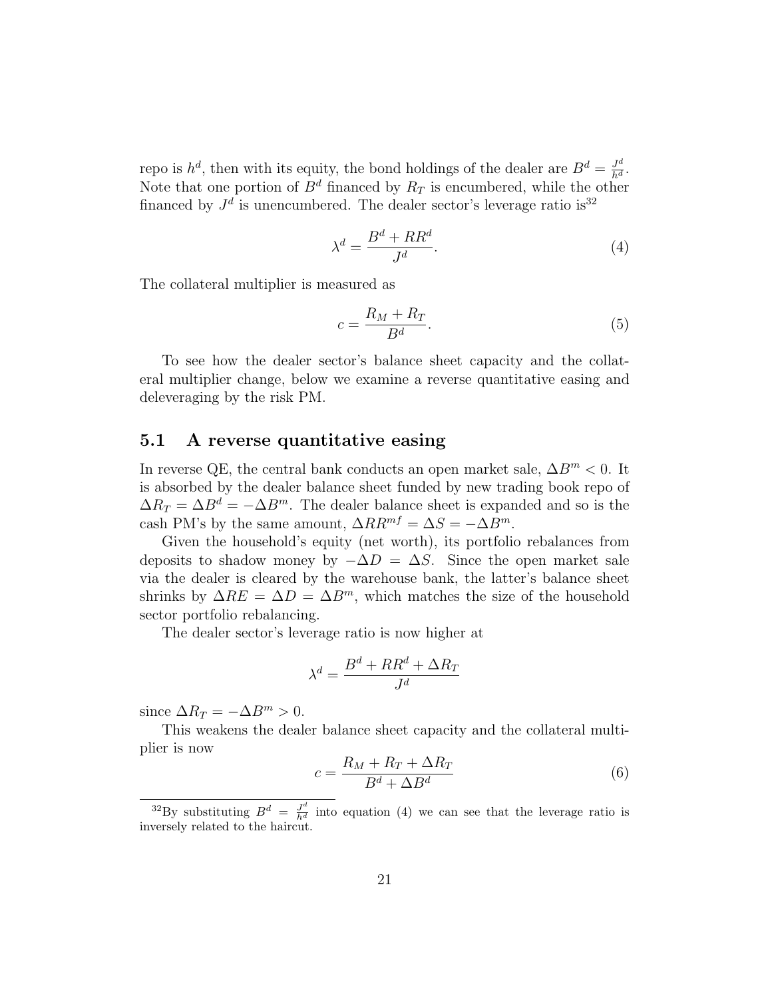repo is  $h^d$ , then with its equity, the bond holdings of the dealer are  $B^d = \frac{J^d}{h^d}$ . Note that one portion of  $B^d$  financed by  $R_T$  is encumbered, while the other financed by  $J^d$  is unencumbered. The dealer sector's leverage ratio is<sup>32</sup>

$$
\lambda^d = \frac{B^d + RR^d}{J^d}.\tag{4}
$$

The collateral multiplier is measured as

$$
c = \frac{R_M + R_T}{B^d}.\tag{5}
$$

To see how the dealer sector's balance sheet capacity and the collateral multiplier change, below we examine a reverse quantitative easing and deleveraging by the risk PM.

#### 5.1 A reverse quantitative easing

In reverse QE, the central bank conducts an open market sale,  $\Delta B^m < 0$ . It is absorbed by the dealer balance sheet funded by new trading book repo of  $\Delta R_T = \Delta B^d = -\Delta B^m$ . The dealer balance sheet is expanded and so is the cash PM's by the same amount,  $\Delta RR^{mf} = \Delta S = -\Delta B^m$ .

Given the household's equity (net worth), its portfolio rebalances from deposits to shadow money by  $-\Delta D = \Delta S$ . Since the open market sale via the dealer is cleared by the warehouse bank, the latter's balance sheet shrinks by  $\Delta RE = \Delta D = \Delta B^{m}$ , which matches the size of the household sector portfolio rebalancing.

The dealer sector's leverage ratio is now higher at

$$
\lambda^d = \frac{B^d + RR^d + \Delta R_T}{J^d}
$$

since  $\Delta R_T = -\Delta B^m > 0$ .

This weakens the dealer balance sheet capacity and the collateral multiplier is now

$$
c = \frac{R_M + R_T + \Delta R_T}{B^d + \Delta B^d} \tag{6}
$$

<sup>&</sup>lt;sup>32</sup>By substituting  $B^d = \frac{J^d}{h^d}$  into equation (4) we can see that the leverage ratio is inversely related to the haircut.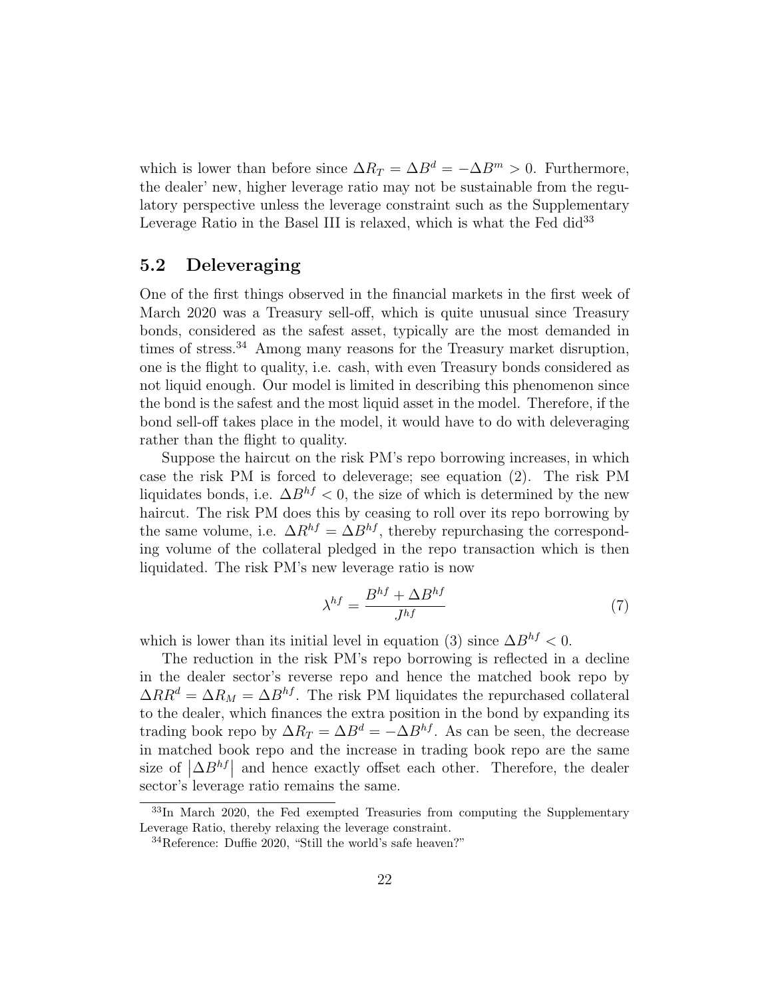which is lower than before since  $\Delta R_T = \Delta B^d = -\Delta B^m > 0$ . Furthermore, the dealer' new, higher leverage ratio may not be sustainable from the regulatory perspective unless the leverage constraint such as the Supplementary Leverage Ratio in the Basel III is relaxed, which is what the Fed did<sup>33</sup>

### 5.2 Deleveraging

One of the first things observed in the financial markets in the first week of March 2020 was a Treasury sell-off, which is quite unusual since Treasury bonds, considered as the safest asset, typically are the most demanded in times of stress.<sup>34</sup> Among many reasons for the Treasury market disruption, one is the flight to quality, i.e. cash, with even Treasury bonds considered as not liquid enough. Our model is limited in describing this phenomenon since the bond is the safest and the most liquid asset in the model. Therefore, if the bond sell-off takes place in the model, it would have to do with deleveraging rather than the flight to quality.

Suppose the haircut on the risk PM's repo borrowing increases, in which case the risk PM is forced to deleverage; see equation (2). The risk PM liquidates bonds, i.e.  $\Delta B^{hf} < 0$ , the size of which is determined by the new haircut. The risk PM does this by ceasing to roll over its repo borrowing by the same volume, i.e.  $\Delta R^{hf} = \Delta B^{hf}$ , thereby repurchasing the corresponding volume of the collateral pledged in the repo transaction which is then liquidated. The risk PM's new leverage ratio is now

$$
\lambda^{hf} = \frac{B^{hf} + \Delta B^{hf}}{J^{hf}} \tag{7}
$$

which is lower than its initial level in equation (3) since  $\Delta B^{hf} < 0$ .

The reduction in the risk PM's repo borrowing is reflected in a decline in the dealer sector's reverse repo and hence the matched book repo by  $\Delta RR^d = \Delta R_M = \Delta B^{hf}$ . The risk PM liquidates the repurchased collateral to the dealer, which finances the extra position in the bond by expanding its trading book repo by  $\Delta R_T = \Delta B^d = -\Delta B^{hf}$ . As can be seen, the decrease in matched book repo and the increase in trading book repo are the same size of  $\left|\Delta B^{hf}\right|$  and hence exactly offset each other. Therefore, the dealer sector's leverage ratio remains the same.

 $33$ In March 2020, the Fed exempted Treasuries from computing the Supplementary Leverage Ratio, thereby relaxing the leverage constraint.

<sup>34</sup>Reference: Duffie 2020, "Still the world's safe heaven?"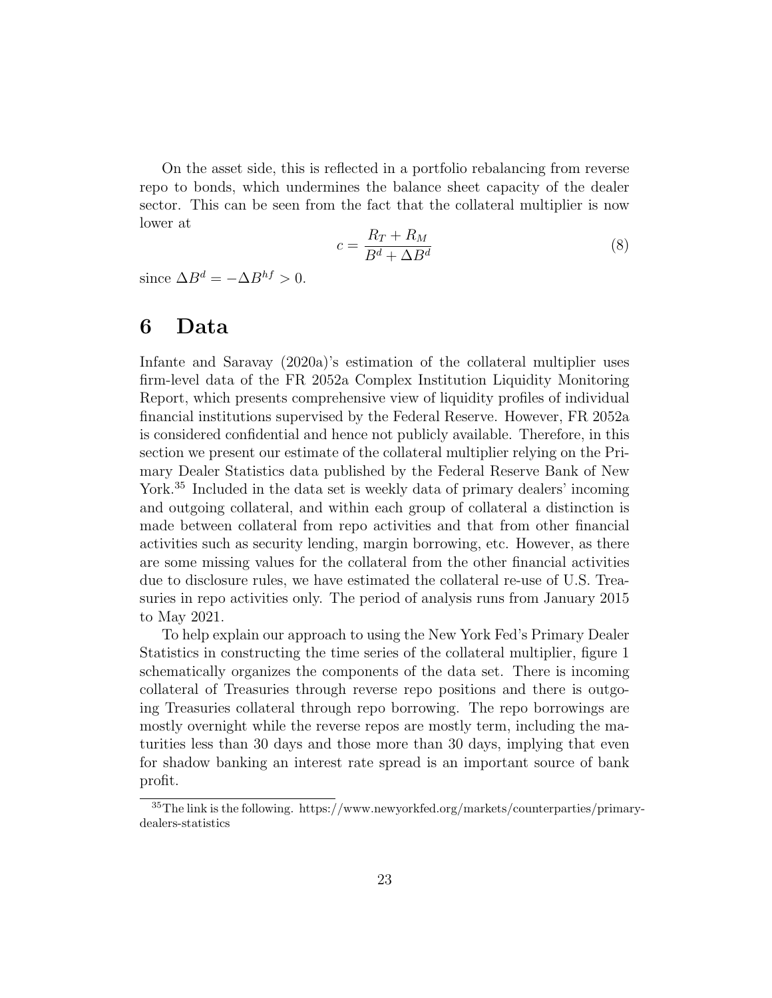On the asset side, this is reflected in a portfolio rebalancing from reverse repo to bonds, which undermines the balance sheet capacity of the dealer sector. This can be seen from the fact that the collateral multiplier is now lower at

$$
c = \frac{R_T + R_M}{B^d + \Delta B^d} \tag{8}
$$

since  $\Delta B^d = -\Delta B^{hf} > 0$ .

## 6 Data

Infante and Saravay (2020a)'s estimation of the collateral multiplier uses firm-level data of the FR 2052a Complex Institution Liquidity Monitoring Report, which presents comprehensive view of liquidity profiles of individual financial institutions supervised by the Federal Reserve. However, FR 2052a is considered confidential and hence not publicly available. Therefore, in this section we present our estimate of the collateral multiplier relying on the Primary Dealer Statistics data published by the Federal Reserve Bank of New York.<sup>35</sup> Included in the data set is weekly data of primary dealers' incoming and outgoing collateral, and within each group of collateral a distinction is made between collateral from repo activities and that from other financial activities such as security lending, margin borrowing, etc. However, as there are some missing values for the collateral from the other financial activities due to disclosure rules, we have estimated the collateral re-use of U.S. Treasuries in repo activities only. The period of analysis runs from January 2015 to May 2021.

To help explain our approach to using the New York Fed's Primary Dealer Statistics in constructing the time series of the collateral multiplier, figure 1 schematically organizes the components of the data set. There is incoming collateral of Treasuries through reverse repo positions and there is outgoing Treasuries collateral through repo borrowing. The repo borrowings are mostly overnight while the reverse repos are mostly term, including the maturities less than 30 days and those more than 30 days, implying that even for shadow banking an interest rate spread is an important source of bank profit.

<sup>35</sup>The link is the following. https://www.newyorkfed.org/markets/counterparties/primarydealers-statistics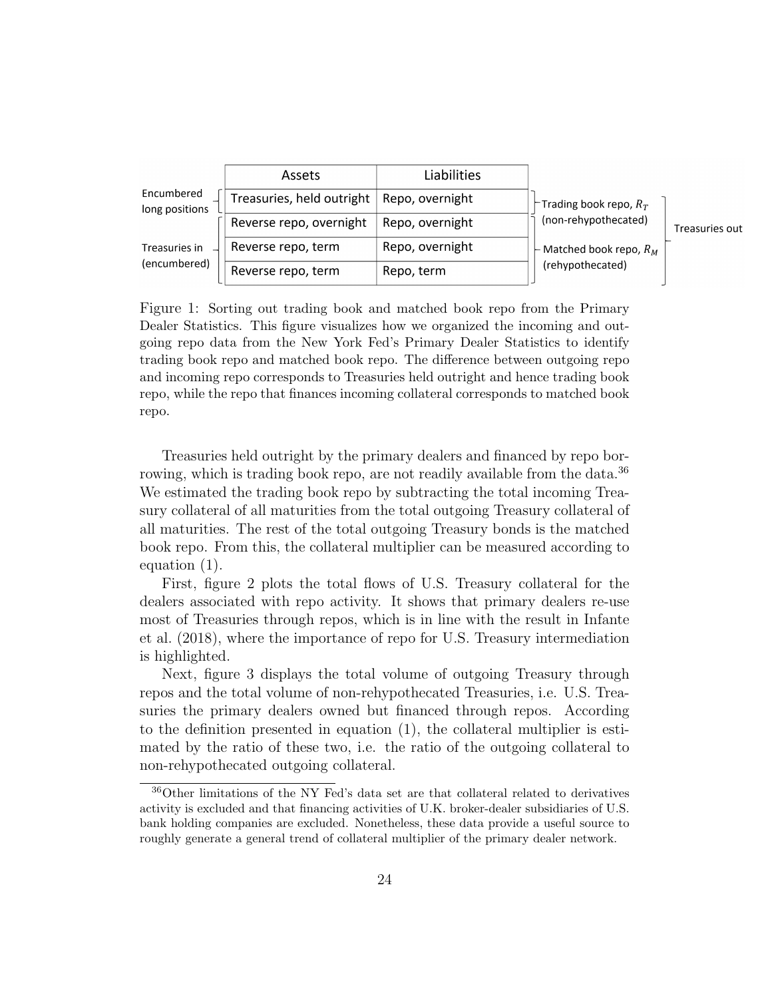|                               | Assets                                      | Liabilities     |                                                                                                                    |                |
|-------------------------------|---------------------------------------------|-----------------|--------------------------------------------------------------------------------------------------------------------|----------------|
| Encumbered<br>long positions  | Treasuries, held outright   Repo, overnight |                 | $\vdash$ Trading book repo, $R_T$<br>(non-rehypothecated)<br>$\vdash$ Matched book repo, $R_M$<br>(rehypothecated) | Treasuries out |
|                               | Reverse repo, overnight                     | Repo, overnight |                                                                                                                    |                |
| Treasuries in<br>(encumbered) | Reverse repo, term                          | Repo, overnight |                                                                                                                    |                |
|                               | Reverse repo, term                          | Repo, term      |                                                                                                                    |                |

Figure 1: Sorting out trading book and matched book repo from the Primary Dealer Statistics. This figure visualizes how we organized the incoming and outgoing repo data from the New York Fed's Primary Dealer Statistics to identify trading book repo and matched book repo. The difference between outgoing repo and incoming repo corresponds to Treasuries held outright and hence trading book repo, while the repo that finances incoming collateral corresponds to matched book repo.

Treasuries held outright by the primary dealers and financed by repo borrowing, which is trading book repo, are not readily available from the data.<sup>36</sup> We estimated the trading book repo by subtracting the total incoming Treasury collateral of all maturities from the total outgoing Treasury collateral of all maturities. The rest of the total outgoing Treasury bonds is the matched book repo. From this, the collateral multiplier can be measured according to equation (1).

First, figure 2 plots the total flows of U.S. Treasury collateral for the dealers associated with repo activity. It shows that primary dealers re-use most of Treasuries through repos, which is in line with the result in Infante et al. (2018), where the importance of repo for U.S. Treasury intermediation is highlighted.

Next, figure 3 displays the total volume of outgoing Treasury through repos and the total volume of non-rehypothecated Treasuries, i.e. U.S. Treasuries the primary dealers owned but financed through repos. According to the definition presented in equation (1), the collateral multiplier is estimated by the ratio of these two, i.e. the ratio of the outgoing collateral to non-rehypothecated outgoing collateral.

<sup>36</sup>Other limitations of the NY Fed's data set are that collateral related to derivatives activity is excluded and that financing activities of U.K. broker-dealer subsidiaries of U.S. bank holding companies are excluded. Nonetheless, these data provide a useful source to roughly generate a general trend of collateral multiplier of the primary dealer network.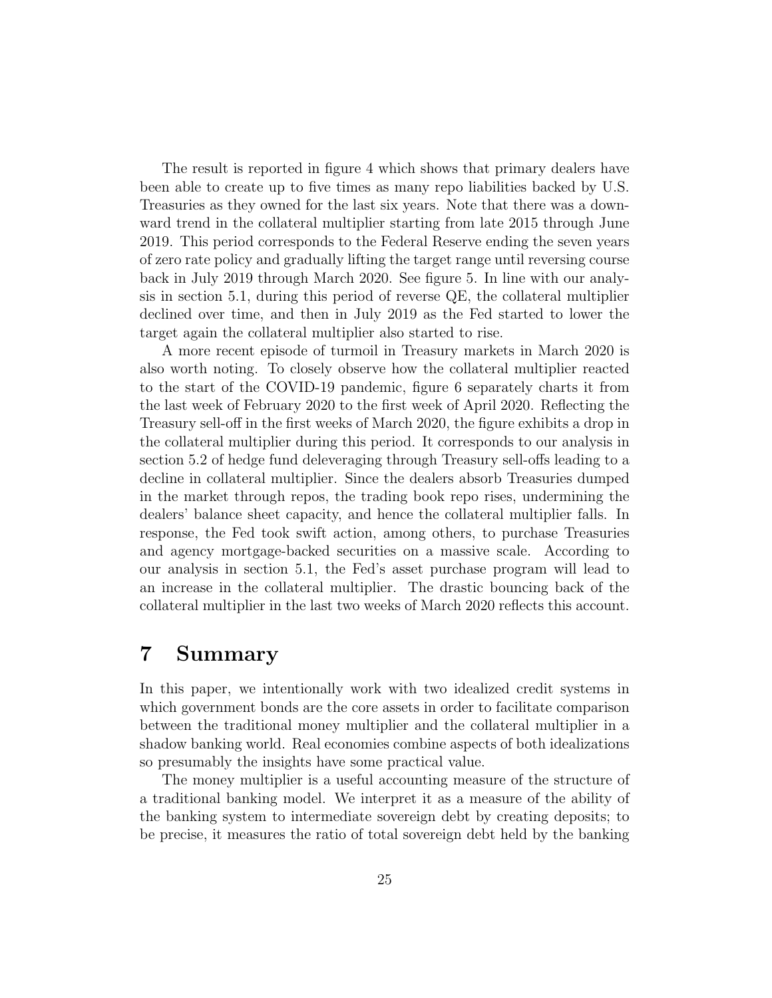The result is reported in figure 4 which shows that primary dealers have been able to create up to five times as many repo liabilities backed by U.S. Treasuries as they owned for the last six years. Note that there was a downward trend in the collateral multiplier starting from late 2015 through June 2019. This period corresponds to the Federal Reserve ending the seven years of zero rate policy and gradually lifting the target range until reversing course back in July 2019 through March 2020. See figure 5. In line with our analysis in section 5.1, during this period of reverse QE, the collateral multiplier declined over time, and then in July 2019 as the Fed started to lower the target again the collateral multiplier also started to rise.

A more recent episode of turmoil in Treasury markets in March 2020 is also worth noting. To closely observe how the collateral multiplier reacted to the start of the COVID-19 pandemic, figure 6 separately charts it from the last week of February 2020 to the first week of April 2020. Reflecting the Treasury sell-off in the first weeks of March 2020, the figure exhibits a drop in the collateral multiplier during this period. It corresponds to our analysis in section 5.2 of hedge fund deleveraging through Treasury sell-offs leading to a decline in collateral multiplier. Since the dealers absorb Treasuries dumped in the market through repos, the trading book repo rises, undermining the dealers' balance sheet capacity, and hence the collateral multiplier falls. In response, the Fed took swift action, among others, to purchase Treasuries and agency mortgage-backed securities on a massive scale. According to our analysis in section 5.1, the Fed's asset purchase program will lead to an increase in the collateral multiplier. The drastic bouncing back of the collateral multiplier in the last two weeks of March 2020 reflects this account.

## 7 Summary

In this paper, we intentionally work with two idealized credit systems in which government bonds are the core assets in order to facilitate comparison between the traditional money multiplier and the collateral multiplier in a shadow banking world. Real economies combine aspects of both idealizations so presumably the insights have some practical value.

The money multiplier is a useful accounting measure of the structure of a traditional banking model. We interpret it as a measure of the ability of the banking system to intermediate sovereign debt by creating deposits; to be precise, it measures the ratio of total sovereign debt held by the banking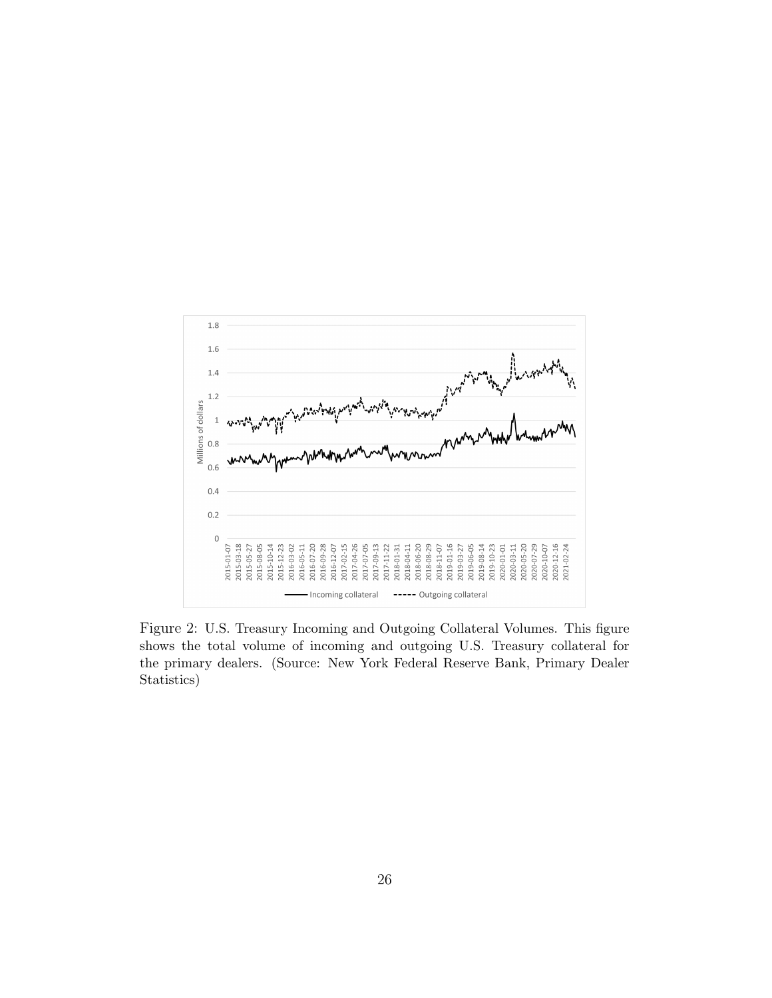

Figure 2: U.S. Treasury Incoming and Outgoing Collateral Volumes. This figure shows the total volume of incoming and outgoing U.S. Treasury collateral for the primary dealers. (Source: New York Federal Reserve Bank, Primary Dealer Statistics)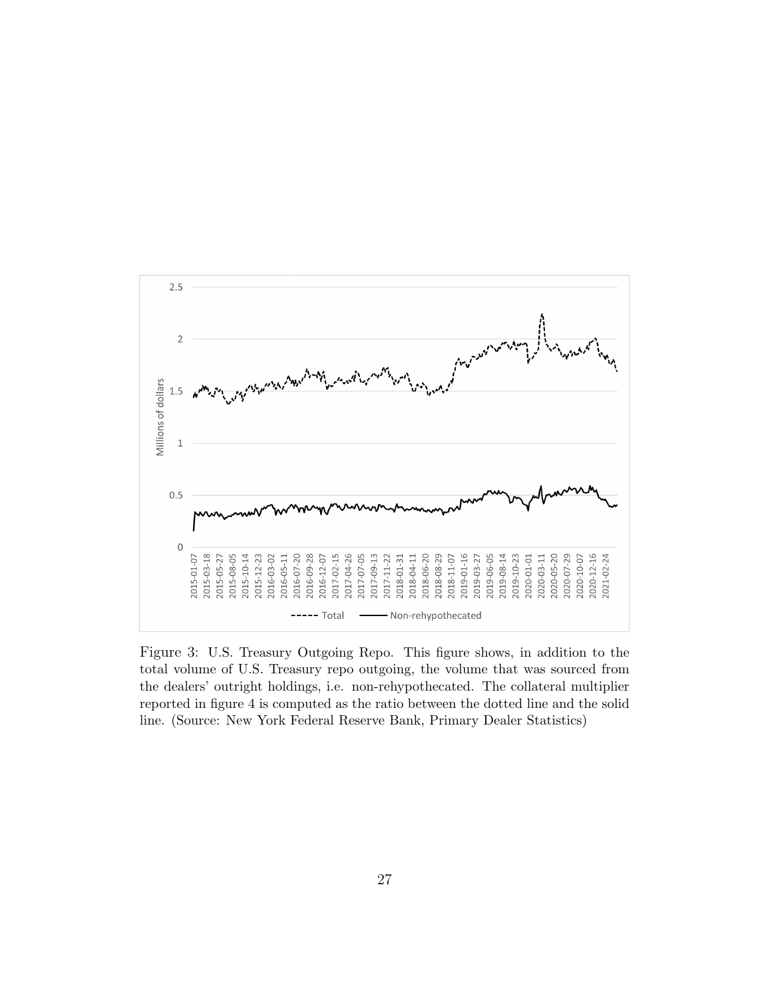

Figure 3: U.S. Treasury Outgoing Repo. This figure shows, in addition to the total volume of U.S. Treasury repo outgoing, the volume that was sourced from the dealers' outright holdings, i.e. non-rehypothecated. The collateral multiplier reported in figure 4 is computed as the ratio between the dotted line and the solid line. (Source: New York Federal Reserve Bank, Primary Dealer Statistics)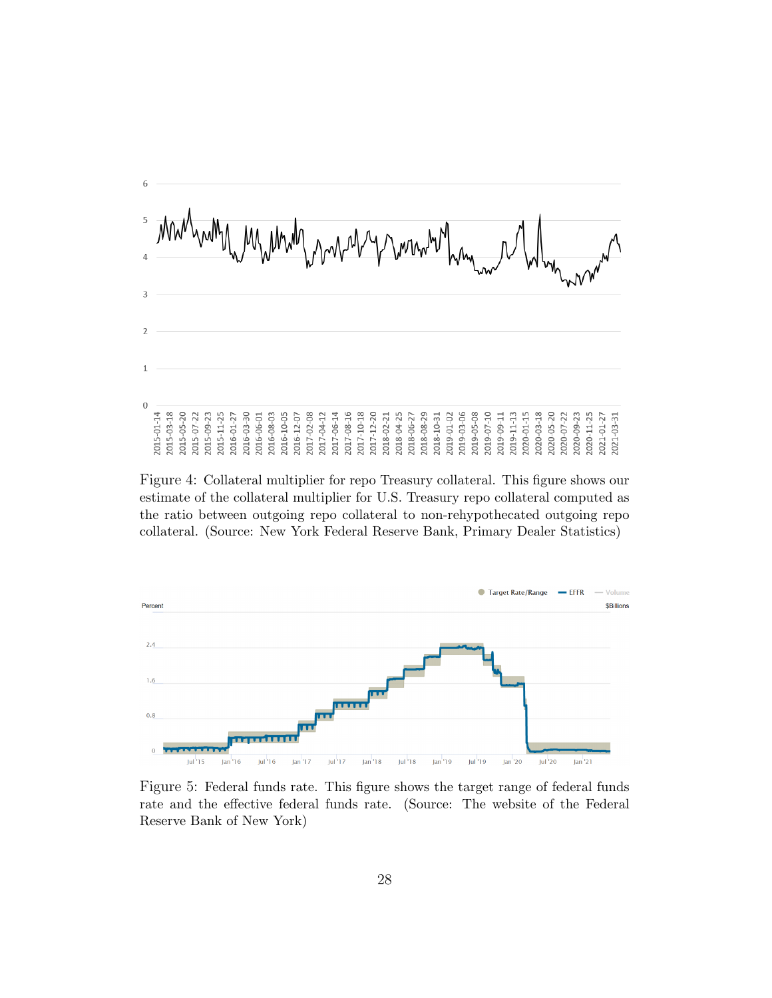

Figure 4: Collateral multiplier for repo Treasury collateral. This figure shows our estimate of the collateral multiplier for U.S. Treasury repo collateral computed as the ratio between outgoing repo collateral to non-rehypothecated outgoing repo collateral. (Source: New York Federal Reserve Bank, Primary Dealer Statistics)



Figure 5: Federal funds rate. This figure shows the target range of federal funds rate and the effective federal funds rate. (Source: The website of the Federal Reserve Bank of New York)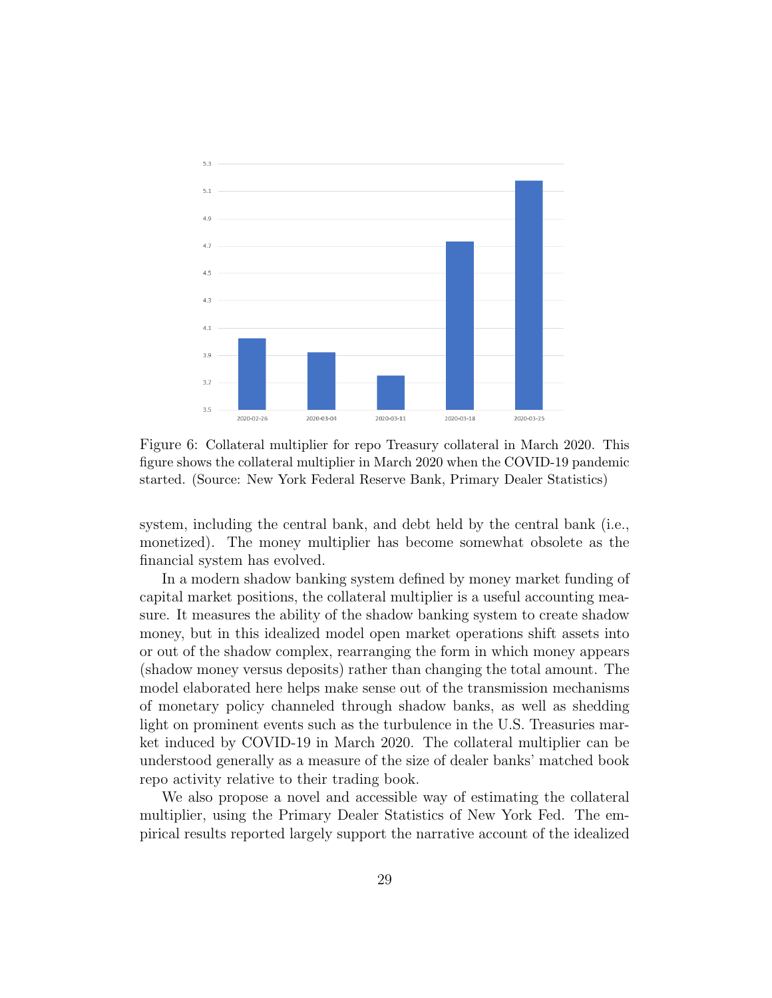

Figure 6: Collateral multiplier for repo Treasury collateral in March 2020. This figure shows the collateral multiplier in March 2020 when the COVID-19 pandemic started. (Source: New York Federal Reserve Bank, Primary Dealer Statistics)

system, including the central bank, and debt held by the central bank (i.e., monetized). The money multiplier has become somewhat obsolete as the financial system has evolved.

In a modern shadow banking system defined by money market funding of capital market positions, the collateral multiplier is a useful accounting measure. It measures the ability of the shadow banking system to create shadow money, but in this idealized model open market operations shift assets into or out of the shadow complex, rearranging the form in which money appears (shadow money versus deposits) rather than changing the total amount. The model elaborated here helps make sense out of the transmission mechanisms of monetary policy channeled through shadow banks, as well as shedding light on prominent events such as the turbulence in the U.S. Treasuries market induced by COVID-19 in March 2020. The collateral multiplier can be understood generally as a measure of the size of dealer banks' matched book repo activity relative to their trading book.

We also propose a novel and accessible way of estimating the collateral multiplier, using the Primary Dealer Statistics of New York Fed. The empirical results reported largely support the narrative account of the idealized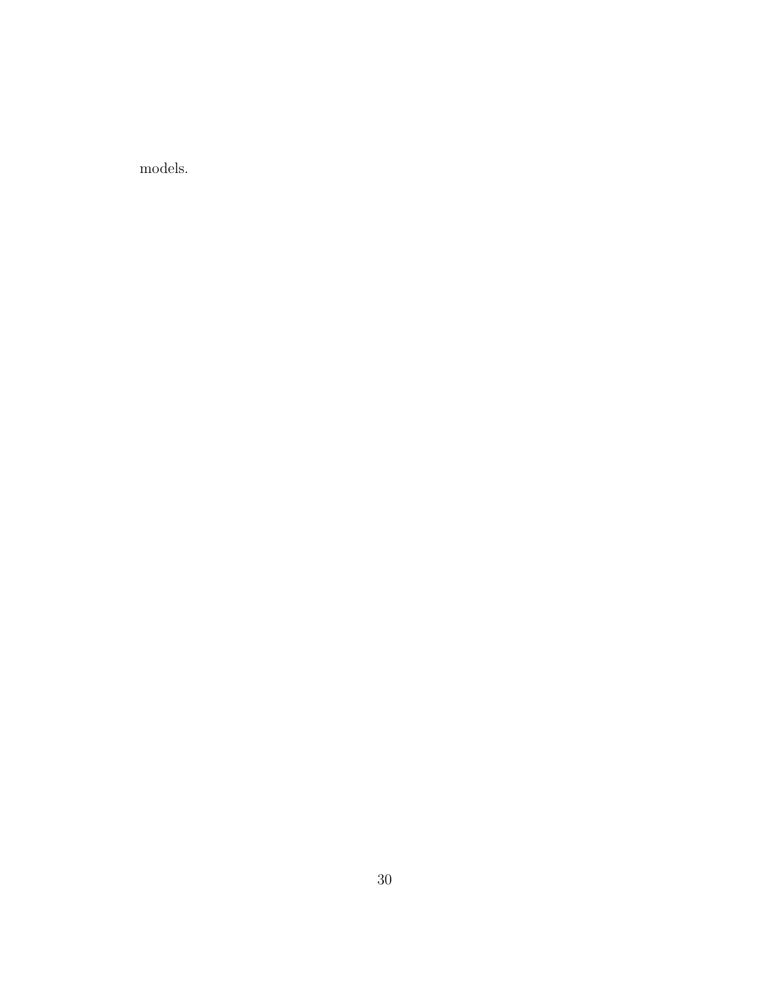models.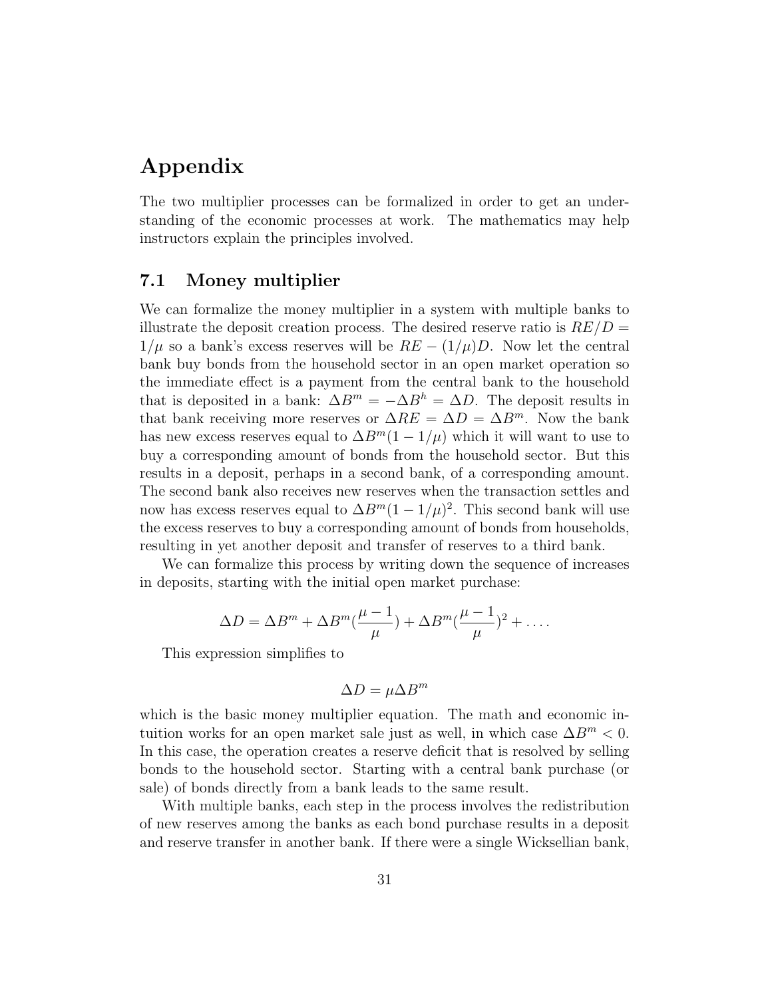## Appendix

The two multiplier processes can be formalized in order to get an understanding of the economic processes at work. The mathematics may help instructors explain the principles involved.

#### 7.1 Money multiplier

We can formalize the money multiplier in a system with multiple banks to illustrate the deposit creation process. The desired reserve ratio is  $RE/D =$  $1/\mu$  so a bank's excess reserves will be  $RE - (1/\mu)D$ . Now let the central bank buy bonds from the household sector in an open market operation so the immediate effect is a payment from the central bank to the household that is deposited in a bank:  $\Delta B^m = -\Delta B^h = \Delta D$ . The deposit results in that bank receiving more reserves or  $\Delta RE = \Delta D = \Delta B^{m}$ . Now the bank has new excess reserves equal to  $\Delta B^{m}(1-1/\mu)$  which it will want to use to buy a corresponding amount of bonds from the household sector. But this results in a deposit, perhaps in a second bank, of a corresponding amount. The second bank also receives new reserves when the transaction settles and now has excess reserves equal to  $\Delta B^{m}(1-1/\mu)^{2}$ . This second bank will use the excess reserves to buy a corresponding amount of bonds from households, resulting in yet another deposit and transfer of reserves to a third bank.

We can formalize this process by writing down the sequence of increases in deposits, starting with the initial open market purchase:

$$
\Delta D = \Delta B^{m} + \Delta B^{m}(\frac{\mu - 1}{\mu}) + \Delta B^{m}(\frac{\mu - 1}{\mu})^{2} + \dots
$$

This expression simplifies to

$$
\Delta D = \mu \Delta B^m
$$

which is the basic money multiplier equation. The math and economic intuition works for an open market sale just as well, in which case  $\Delta B^m < 0$ . In this case, the operation creates a reserve deficit that is resolved by selling bonds to the household sector. Starting with a central bank purchase (or sale) of bonds directly from a bank leads to the same result.

With multiple banks, each step in the process involves the redistribution of new reserves among the banks as each bond purchase results in a deposit and reserve transfer in another bank. If there were a single Wicksellian bank,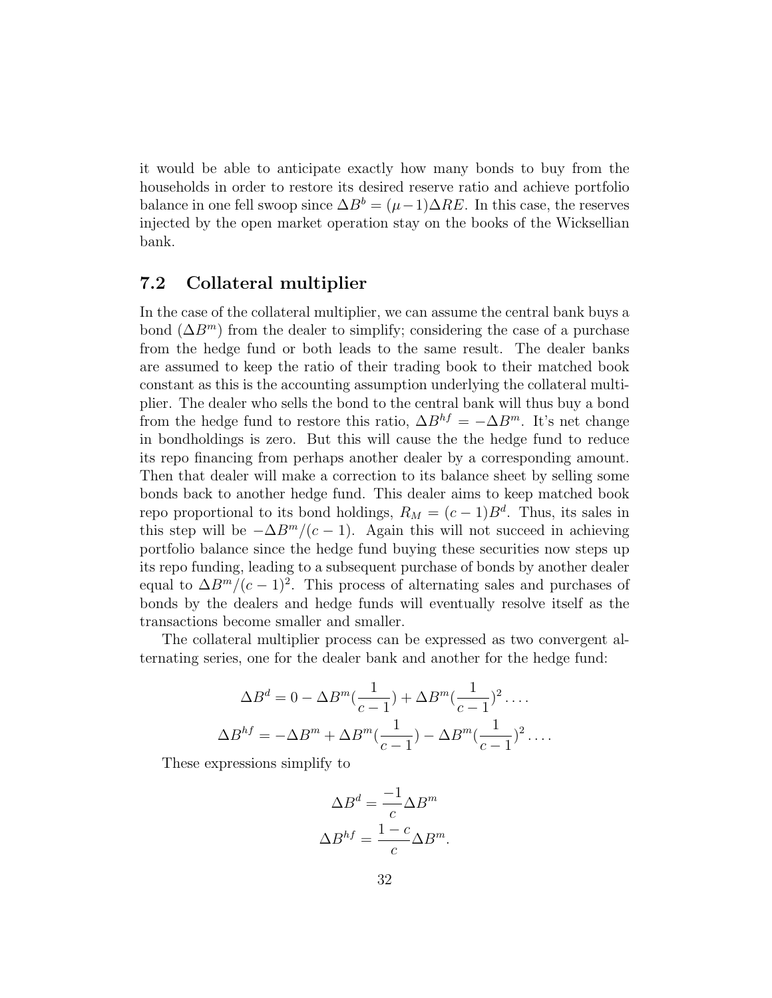it would be able to anticipate exactly how many bonds to buy from the households in order to restore its desired reserve ratio and achieve portfolio balance in one fell swoop since  $\Delta B^b = (\mu - 1)\Delta RE$ . In this case, the reserves injected by the open market operation stay on the books of the Wicksellian bank.

#### 7.2 Collateral multiplier

In the case of the collateral multiplier, we can assume the central bank buys a bond  $(\Delta B^m)$  from the dealer to simplify; considering the case of a purchase from the hedge fund or both leads to the same result. The dealer banks are assumed to keep the ratio of their trading book to their matched book constant as this is the accounting assumption underlying the collateral multiplier. The dealer who sells the bond to the central bank will thus buy a bond from the hedge fund to restore this ratio,  $\Delta B^{hf} = -\Delta B^{m}$ . It's net change in bondholdings is zero. But this will cause the the hedge fund to reduce its repo financing from perhaps another dealer by a corresponding amount. Then that dealer will make a correction to its balance sheet by selling some bonds back to another hedge fund. This dealer aims to keep matched book repo proportional to its bond holdings,  $R_M = (c-1)B^d$ . Thus, its sales in this step will be  $-\Delta B^m/(c-1)$ . Again this will not succeed in achieving portfolio balance since the hedge fund buying these securities now steps up its repo funding, leading to a subsequent purchase of bonds by another dealer equal to  $\Delta B^m/(c-1)^2$ . This process of alternating sales and purchases of bonds by the dealers and hedge funds will eventually resolve itself as the transactions become smaller and smaller.

The collateral multiplier process can be expressed as two convergent alternating series, one for the dealer bank and another for the hedge fund:

$$
\Delta B^d = 0 - \Delta B^m \left(\frac{1}{c-1}\right) + \Delta B^m \left(\frac{1}{c-1}\right)^2 \dots
$$
  

$$
\Delta B^{hf} = -\Delta B^m + \Delta B^m \left(\frac{1}{c-1}\right) - \Delta B^m \left(\frac{1}{c-1}\right)^2 \dots
$$

These expressions simplify to

$$
\Delta B^d = \frac{-1}{c} \Delta B^m
$$

$$
\Delta B^{hf} = \frac{1 - c}{c} \Delta B^m.
$$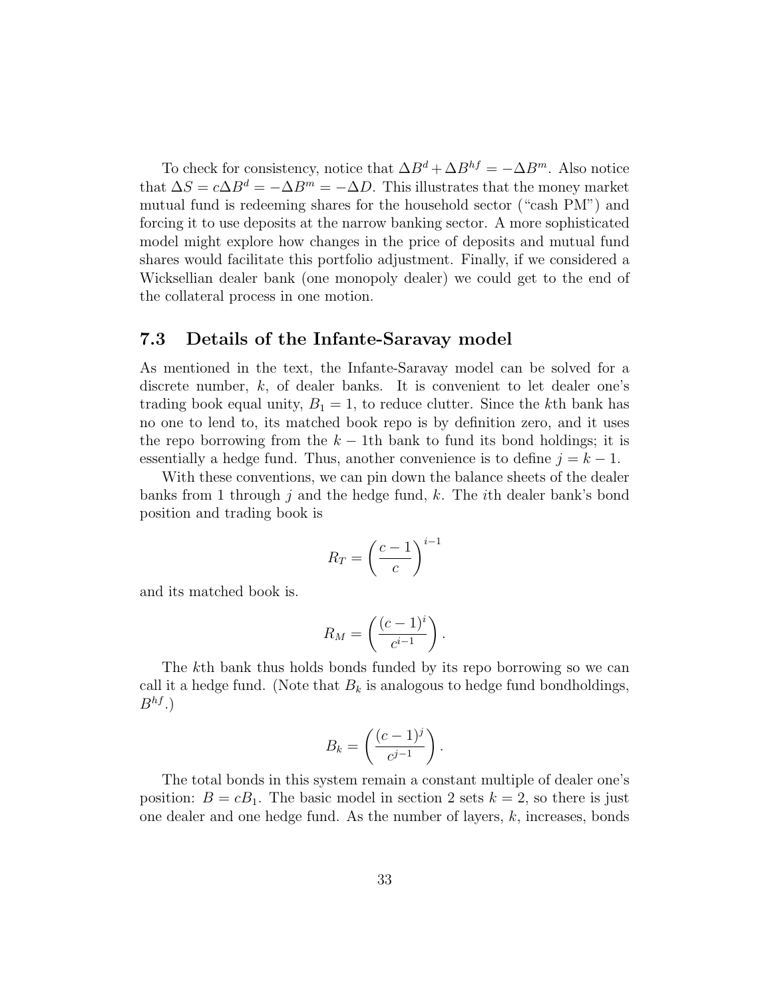To check for consistency, notice that  $\Delta B^d + \Delta B^{hf} = -\Delta B^m$ . Also notice that  $\Delta S = c \Delta B^d = -\Delta B^m = -\Delta D$ . This illustrates that the money market mutual fund is redeeming shares for the household sector ("cash PM") and forcing it to use deposits at the narrow banking sector. A more sophisticated model might explore how changes in the price of deposits and mutual fund shares would facilitate this portfolio adjustment. Finally, if we considered a Wicksellian dealer bank (one monopoly dealer) we could get to the end of the collateral process in one motion.

#### 7.3 Details of the Infante-Saravay model

As mentioned in the text, the Infante-Saravay model can be solved for a discrete number, k, of dealer banks. It is convenient to let dealer one's trading book equal unity,  $B_1 = 1$ , to reduce clutter. Since the kth bank has no one to lend to, its matched book repo is by definition zero, and it uses the repo borrowing from the  $k - 1$ th bank to fund its bond holdings; it is essentially a hedge fund. Thus, another convenience is to define  $j = k - 1$ .

With these conventions, we can pin down the balance sheets of the dealer banks from 1 through j and the hedge fund, k. The *i*th dealer bank's bond position and trading book is

$$
R_T = \left(\frac{c-1}{c}\right)^{i-1}
$$

and its matched book is.

$$
R_M = \left(\frac{(c-1)^i}{c^{i-1}}\right).
$$

The kth bank thus holds bonds funded by its repo borrowing so we can call it a hedge fund. (Note that  $B_k$  is analogous to hedge fund bondholdings,  $B^{hf}$ .)

$$
B_k = \left(\frac{(c-1)^j}{c^{j-1}}\right).
$$

The total bonds in this system remain a constant multiple of dealer one's position:  $B = cB_1$ . The basic model in section 2 sets  $k = 2$ , so there is just one dealer and one hedge fund. As the number of layers,  $k$ , increases, bonds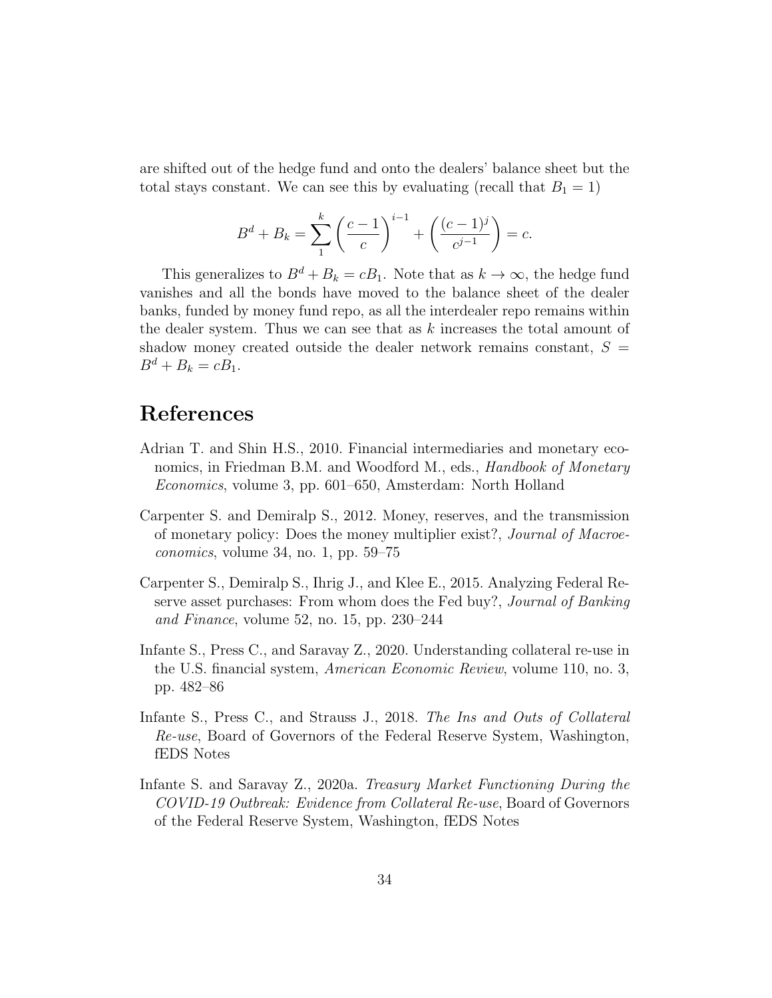are shifted out of the hedge fund and onto the dealers' balance sheet but the total stays constant. We can see this by evaluating (recall that  $B_1 = 1$ )

$$
B^{d} + B_{k} = \sum_{1}^{k} \left(\frac{c-1}{c}\right)^{i-1} + \left(\frac{(c-1)^{j}}{c^{j-1}}\right) = c.
$$

This generalizes to  $B^d + B_k = cB_1$ . Note that as  $k \to \infty$ , the hedge fund vanishes and all the bonds have moved to the balance sheet of the dealer banks, funded by money fund repo, as all the interdealer repo remains within the dealer system. Thus we can see that as  $k$  increases the total amount of shadow money created outside the dealer network remains constant,  $S =$  $B^{d} + B_{k} = cB_{1}.$ 

## References

- Adrian T. and Shin H.S., 2010. Financial intermediaries and monetary economics, in Friedman B.M. and Woodford M., eds., *Handbook of Monetary* Economics, volume 3, pp. 601–650, Amsterdam: North Holland
- Carpenter S. and Demiralp S., 2012. Money, reserves, and the transmission of monetary policy: Does the money multiplier exist?, Journal of Macroeconomics, volume 34, no. 1, pp. 59–75
- Carpenter S., Demiralp S., Ihrig J., and Klee E., 2015. Analyzing Federal Reserve asset purchases: From whom does the Fed buy?, *Journal of Banking* and Finance, volume 52, no. 15, pp. 230–244
- Infante S., Press C., and Saravay Z., 2020. Understanding collateral re-use in the U.S. financial system, American Economic Review, volume 110, no. 3, pp. 482–86
- Infante S., Press C., and Strauss J., 2018. The Ins and Outs of Collateral Re-use, Board of Governors of the Federal Reserve System, Washington, fEDS Notes
- Infante S. and Saravay Z., 2020a. Treasury Market Functioning During the COVID-19 Outbreak: Evidence from Collateral Re-use, Board of Governors of the Federal Reserve System, Washington, fEDS Notes